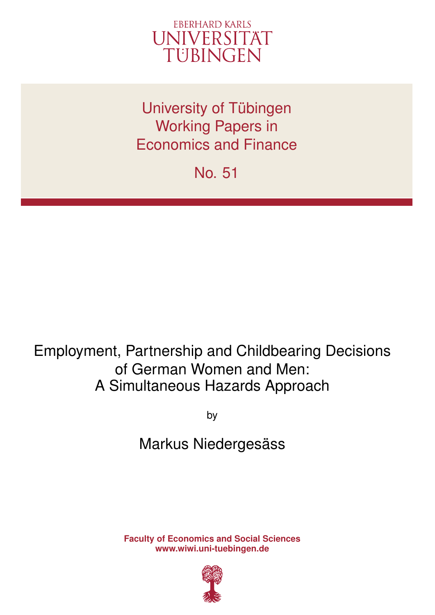

University of Tübingen Working Papers in Economics and Finance

No. 51

# Employment, Partnership and Childbearing Decisions of German Women and Men: A Simultaneous Hazards Approach

by

## Markus Niedergesäss

**Faculty of Economics and Social Sciences www.wiwi.uni-tuebingen.de**

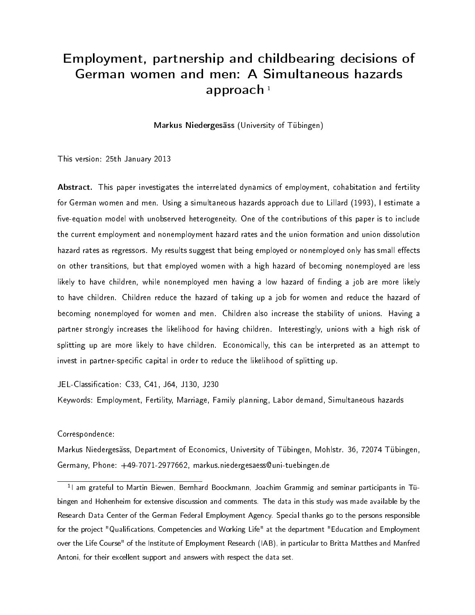## Employment, partnership and childbearing decisions of German women and men: A Simultaneous hazards approach  $1$

Markus Niedergesäss (University of Tübingen)

This version: 25th January 2013

Abstract. This paper investigates the interrelated dynamics of employment, cohabitation and fertility for German women and men. Using a simultaneous hazards approach due to Lillard (1993), I estimate a five-equation model with unobserved heterogeneity. One of the contributions of this paper is to include the current employment and nonemployment hazard rates and the union formation and union dissolution hazard rates as regressors. My results suggest that being employed or nonemployed only has small effects on other transitions, but that employed women with a high hazard of becoming nonemployed are less likely to have children, while nonemployed men having a low hazard of finding a job are more likely to have children. Children reduce the hazard of taking up a job for women and reduce the hazard of becoming nonemployed for women and men. Children also increase the stability of unions. Having a partner strongly increases the likelihood for having children. Interestingly, unions with a high risk of splitting up are more likely to have children. Economically, this can be interpreted as an attempt to invest in partner-specific capital in order to reduce the likelihood of splitting up.

JEL-Classification: C33, C41, J64, J130, J230

Keywords: Employment, Fertility, Marriage, Family planning, Labor demand, Simultaneous hazards

#### Correspondence:

Markus Niedergesäss, Department of Economics, University of Tübingen, Mohlstr. 36, 72074 Tübingen, Germany, Phone: +49-7071-2977662, markus.niedergesaess@uni-tuebingen.de

<sup>1</sup>l am grateful to Martin Biewen, Bernhard Boockmann, Joachim Grammig and seminar participants in Tübingen and Hohenheim for extensive discussion and comments. The data in this study was made available by the Research Data Center of the German Federal Employment Agency. Special thanks go to the persons responsible for the project "Qualifications, Competencies and Working Life" at the department "Education and Employment over the Life Course" of the Institute of Employment Research (IAB), in particular to Britta Matthes and Manfred Antoni, for their excellent support and answers with respect the data set.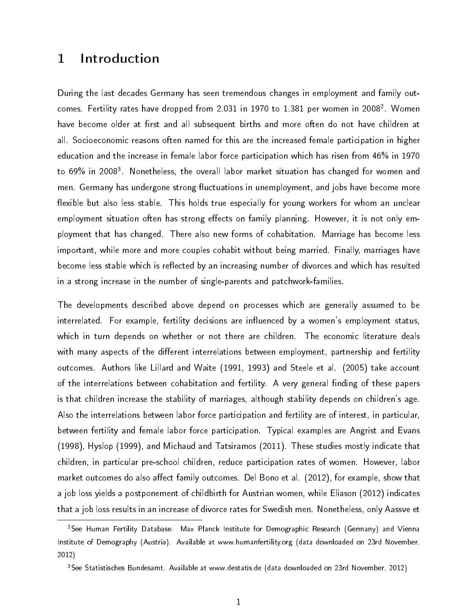## 1 Introduction

During the last decades Germany has seen tremendous changes in employment and family outcomes. Fertility rates have dropped from 2.031 in 1970 to 1.381 per women in 2008 $^{\rm 2}$  . Women have become older at first and all subsequent births and more often do not have children at all. Socioeconomic reasons often named for this are the increased female participation in higher education and the increase in female labor force participation which has risen from 46% in 1970 to 69% in 2008<sup>3</sup>. Nonetheless, the overall labor market situation has changed for women and men. Germany has undergone strong fluctuations in unemployment, and jobs have become more flexible but also less stable. This holds true especially for young workers for whom an unclear employment situation often has strong effects on family planning. However, it is not only employment that has changed. There also new forms of cohabitation. Marriage has become less important, while more and more couples cohabit without being married. Finally, marriages have become less stable which is reflected by an increasing number of divorces and which has resulted in a strong increase in the number of single-parents and patchwork-families.

The developments described above depend on processes which are generally assumed to be interrelated. For example, fertility decisions are influenced by a women's employment status, which in turn depends on whether or not there are children. The economic literature deals with many aspects of the different interrelations between employment, partnership and fertility outcomes. Authors like Lillard and Waite (1991, 1993) and Steele et al. (2005) take account of the interrelations between cohabitation and fertility. A very general finding of these papers is that children increase the stability of marriages, although stability depends on children's age. Also the interrelations between labor force participation and fertility are of interest, in particular, between fertility and female labor force participation. Typical examples are Angrist and Evans (1998), Hyslop (1999), and Michaud and Tatsiramos (2011). These studies mostly indicate that children, in particular pre-school children, reduce participation rates of women. However, labor market outcomes do also affect family outcomes. Del Bono et al. (2012), for example, show that a job loss yields a postponement of childbirth for Austrian women, while Eliason (2012) indicates that a job loss results in an increase of divorce rates for Swedish men. Nonetheless, only Aassve et

<sup>&</sup>lt;sup>2</sup>See Human Fertility Database. Max Planck Institute for Demographic Research (Germany) and Vienna Institute of Demography (Austria). Available at www.humanfertility.org (data downloaded on 23rd November, 2012)

<sup>3</sup>See Statistisches Bundesamt. Available at www.destatis.de (data downloaded on 23rd November, 2012)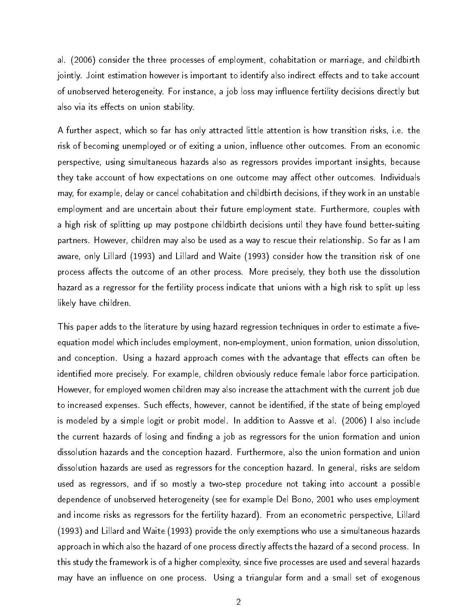al. (2006) consider the three processes of employment, cohabitation or marriage, and childbirth jointly. Joint estimation however is important to identify also indirect effects and to take account of unobserved heterogeneity. For instance, a job loss may influence fertility decisions directly but also via its effects on union stability.

A further aspect, which so far has only attracted little attention is how transition risks, i.e. the risk of becoming unemployed or of exiting a union, influence other outcomes. From an economic perspective, using simultaneous hazards also as regressors provides important insights, because they take account of how expectations on one outcome may affect other outcomes. Individuals may, for example, delay or cancel cohabitation and childbirth decisions, if they work in an unstable employment and are uncertain about their future employment state. Furthermore, couples with a high risk of splitting up may postpone childbirth decisions until they have found better-suiting partners. However, children may also be used as a way to rescue their relationship. So far as I am aware, only Lillard (1993) and Lillard and Waite (1993) consider how the transition risk of one process affects the outcome of an other process. More precisely, they both use the dissolution hazard as a regressor for the fertility process indicate that unions with a high risk to split up less likely have children.

This paper adds to the literature by using hazard regression techniques in order to estimate a fiveequation model which includes employment, non-employment, union formation, union dissolution, and conception. Using a hazard approach comes with the advantage that effects can often be identified more precisely. For example, children obviously reduce female labor force participation. However, for employed women children may also increase the attachment with the current job due to increased expenses. Such effects, however, cannot be identified, if the state of being employed is modeled by a simple logit or probit model. In addition to Aassve et al. (2006) I also include the current hazards of losing and finding a job as regressors for the union formation and union dissolution hazards and the conception hazard. Furthermore, also the union formation and union dissolution hazards are used as regressors for the conception hazard. In general, risks are seldom used as regressors, and if so mostly a two-step procedure not taking into account a possible dependence of unobserved heterogeneity (see for example Del Bono, 2001 who uses employment and income risks as regressors for the fertility hazard). From an econometric perspective, Lillard (1993) and Lillard and Waite (1993) provide the only exemptions who use a simultaneous hazards approach in which also the hazard of one process directly affects the hazard of a second process. In this study the framework is of a higher complexity, since five processes are used and several hazards may have an influence on one process. Using a triangular form and a small set of exogenous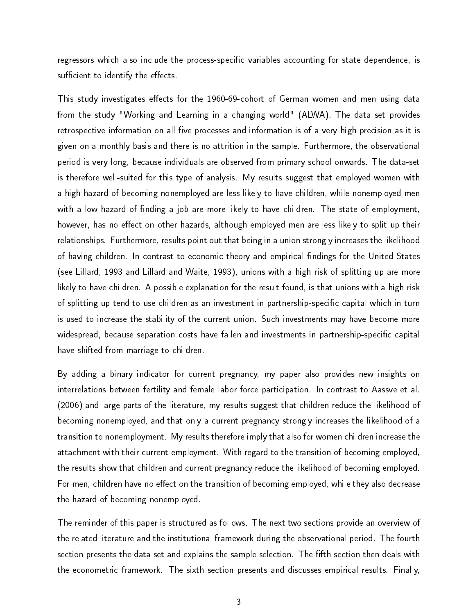regressors which also include the process-specific variables accounting for state dependence, is sufficient to identify the effects.

This study investigates effects for the 1960-69-cohort of German women and men using data from the study "Working and Learning in a changing world" (ALWA). The data set provides retrospective information on all five processes and information is of a very high precision as it is given on a monthly basis and there is no attrition in the sample. Furthermore, the observational period is very long, because individuals are observed from primary school onwards. The data-set is therefore well-suited for this type of analysis. My results suggest that employed women with a high hazard of becoming nonemployed are less likely to have children, while nonemployed men with a low hazard of finding a job are more likely to have children. The state of employment, however, has no effect on other hazards, although employed men are less likely to split up their relationships. Furthermore, results point out that being in a union strongly increases the likelihood of having children. In contrast to economic theory and empirical findings for the United States (see Lillard, 1993 and Lillard and Waite, 1993), unions with a high risk of splitting up are more likely to have children. A possible explanation for the result found, is that unions with a high risk of splitting up tend to use children as an investment in partnership-specific capital which in turn is used to increase the stability of the current union. Such investments may have become more widespread, because separation costs have fallen and investments in partnership-specific capital have shifted from marriage to children.

By adding a binary indicator for current pregnancy, my paper also provides new insights on interrelations between fertility and female labor force participation. In contrast to Aassve et al. (2006) and large parts of the literature, my results suggest that children reduce the likelihood of becoming nonemployed, and that only a current pregnancy strongly increases the likelihood of a transition to nonemployment. My results therefore imply that also for women children increase the attachment with their current employment. With regard to the transition of becoming employed, the results show that children and current pregnancy reduce the likelihood of becoming employed. For men, children have no effect on the transition of becoming employed, while they also decrease the hazard of becoming nonemployed.

The reminder of this paper is structured as follows. The next two sections provide an overview of the related literature and the institutional framework during the observational period. The fourth section presents the data set and explains the sample selection. The fifth section then deals with the econometric framework. The sixth section presents and discusses empirical results. Finally,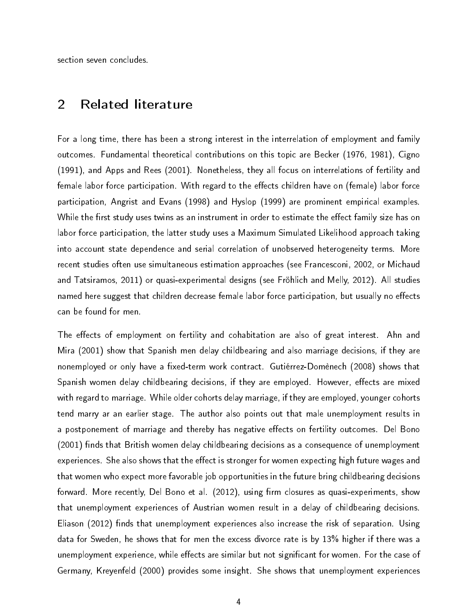section seven concludes.

## 2 Related literature

For a long time, there has been a strong interest in the interrelation of employment and family outcomes. Fundamental theoretical contributions on this topic are Becker (1976, 1981), Cigno (1991), and Apps and Rees (2001). Nonetheless, they all focus on interrelations of fertility and female labor force participation. With regard to the effects children have on (female) labor force participation, Angrist and Evans (1998) and Hyslop (1999) are prominent empirical examples. While the first study uses twins as an instrument in order to estimate the effect family size has on labor force participation, the latter study uses a Maximum Simulated Likelihood approach taking into account state dependence and serial correlation of unobserved heterogeneity terms. More recent studies often use simultaneous estimation approaches (see Francesconi, 2002, or Michaud and Tatsiramos, 2011) or quasi-experimental designs (see Fröhlich and Melly, 2012). All studies named here suggest that children decrease female labor force participation, but usually no effects can be found for men.

The effects of employment on fertility and cohabitation are also of great interest. Ahn and Mira (2001) show that Spanish men delay childbearing and also marriage decisions, if they are nonemployed or only have a fixed-term work contract. Gutiérrez-Domènech (2008) shows that Spanish women delay childbearing decisions, if they are employed. However, effects are mixed with regard to marriage. While older cohorts delay marriage, if they are employed, younger cohorts tend marry ar an earlier stage. The author also points out that male unemployment results in a postponement of marriage and thereby has negative effects on fertility outcomes. Del Bono (2001) finds that British women delay childbearing decisions as a consequence of unemployment experiences. She also shows that the effect is stronger for women expecting high future wages and that women who expect more favorable job opportunities in the future bring childbearing decisions forward. More recently, Del Bono et al.  $(2012)$ , using firm closures as quasi-experiments, show that unemployment experiences of Austrian women result in a delay of childbearing decisions. Eliason (2012) finds that unemployment experiences also increase the risk of separation. Using data for Sweden, he shows that for men the excess divorce rate is by 13% higher if there was a unemployment experience, while effects are similar but not significant for women. For the case of Germany, Kreyenfeld (2000) provides some insight. She shows that unemployment experiences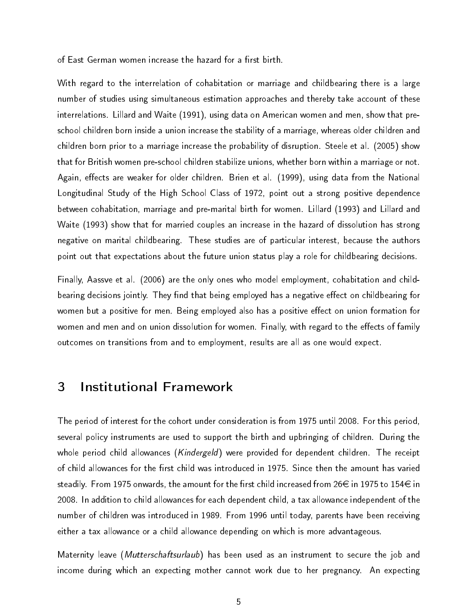of East German women increase the hazard for a first birth.

With regard to the interrelation of cohabitation or marriage and childbearing there is a large number of studies using simultaneous estimation approaches and thereby take account of these interrelations. Lillard and Waite (1991), using data on American women and men, show that preschool children born inside a union increase the stability of a marriage, whereas older children and children born prior to a marriage increase the probability of disruption. Steele et al. (2005) show that for British women pre-school children stabilize unions, whether born within a marriage or not. Again, effects are weaker for older children. Brien et al. (1999), using data from the National Longitudinal Study of the High School Class of 1972, point out a strong positive dependence between cohabitation, marriage and pre-marital birth for women. Lillard (1993) and Lillard and Waite (1993) show that for married couples an increase in the hazard of dissolution has strong negative on marital childbearing. These studies are of particular interest, because the authors point out that expectations about the future union status play a role for childbearing decisions.

Finally, Aassve et al. (2006) are the only ones who model employment, cohabitation and childbearing decisions jointly. They find that being employed has a negative effect on childbearing for women but a positive for men. Being employed also has a positive effect on union formation for women and men and on union dissolution for women. Finally, with regard to the effects of family outcomes on transitions from and to employment, results are all as one would expect.

## 3 Institutional Framework

The period of interest for the cohort under consideration is from 1975 until 2008. For this period, several policy instruments are used to support the birth and upbringing of children. During the whole period child allowances (*Kindergeld*) were provided for dependent children. The receipt of child allowances for the first child was introduced in 1975. Since then the amount has varied steadily. From 1975 onwards, the amount for the first child increased from 26 $\in$  in 1975 to 154 $\in$  in 2008. In addition to child allowances for each dependent child, a tax allowance independent of the number of children was introduced in 1989. From 1996 until today, parents have been receiving either a tax allowance or a child allowance depending on which is more advantageous.

Maternity leave (*Mutterschaftsurlaub*) has been used as an instrument to secure the job and income during which an expecting mother cannot work due to her pregnancy. An expecting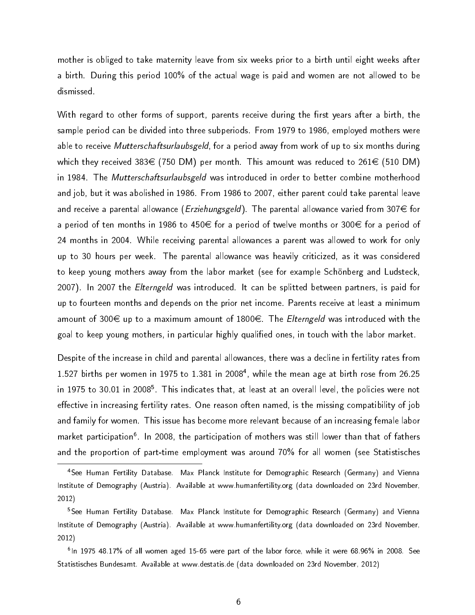mother is obliged to take maternity leave from six weeks prior to a birth until eight weeks after a birth. During this period 100% of the actual wage is paid and women are not allowed to be dismissed.

With regard to other forms of support, parents receive during the first years after a birth, the sample period can be divided into three subperiods. From 1979 to 1986, employed mothers were able to receive Mutterschaftsurlaubsgeld, for a period away from work of up to six months during which they received 383 $\in$  (750 DM) per month. This amount was reduced to 261 $\in$  (510 DM) in 1984. The *Mutterschaftsurlaubsgeld* was introduced in order to better combine motherhood and job, but it was abolished in 1986. From 1986 to 2007, either parent could take parental leave and receive a parental allowance (*Erziehungsgeld*). The parental allowance varied from 307 $\epsilon$  for a period of ten months in 1986 to 450 $\in$  for a period of twelve months or 300 $\in$  for a period of 24 months in 2004. While receiving parental allowances a parent was allowed to work for only up to 30 hours per week. The parental allowance was heavily criticized, as it was considered to keep young mothers away from the labor market (see for example Schönberg and Ludsteck, 2007). In 2007 the *Elterngeld* was introduced. It can be splitted between partners, is paid for up to fourteen months and depends on the prior net income. Parents receive at least a minimum amount of 300 $\in$  up to a maximum amount of 1800 $\in$ . The *Elterngeld* was introduced with the goal to keep young mothers, in particular highly qualified ones, in touch with the labor market.

Despite of the increase in child and parental allowances, there was a decline in fertility rates from 1.527 births per women in 1975 to 1.381 in 2008<sup>4</sup>, while the mean age at birth rose from 26.25 in 1975 to 30.01 in 2008 $^{\rm 5}$ . This indicates that, at least at an overall level, the policies were not effective in increasing fertility rates. One reason often named, is the missing compatibility of job and family for women. This issue has become more relevant because of an increasing female labor market participation<sup>6</sup>. In 2008, the participation of mothers was still lower than that of fathers and the proportion of part-time employment was around 70% for all women (see Statistisches

<sup>4</sup>See Human Fertility Database. Max Planck Institute for Demographic Research (Germany) and Vienna Institute of Demography (Austria). Available at www.humanfertility.org (data downloaded on 23rd November, 2012)

<sup>5</sup>See Human Fertility Database. Max Planck Institute for Demographic Research (Germany) and Vienna Institute of Demography (Austria). Available at www.humanfertility.org (data downloaded on 23rd November, 2012)

<sup>&</sup>lt;sup>6</sup>In 1975 48.17% of all women aged 15-65 were part of the labor force, while it were 68.96% in 2008. See Statistisches Bundesamt. Available at www.destatis.de (data downloaded on 23rd November, 2012)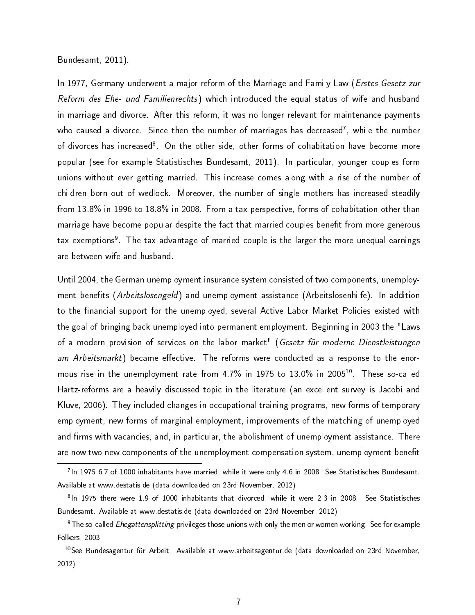Bundesamt, 2011).

In 1977, Germany underwent a major reform of the Marriage and Family Law (*Erstes Gesetz zur* Reform des Ehe- und Familienrechts) which introduced the equal status of wife and husband in marriage and divorce. After this reform, it was no longer relevant for maintenance payments who caused a divorce. Since then the number of marriages has decreased<sup>7</sup>, while the number of divorces has increased<sup>8</sup>. On the other side, other forms of cohabitation have become more popular (see for example Statistisches Bundesamt, 2011). In particular, younger couples form unions without ever getting married. This increase comes along with a rise of the number of children born out of wedlock. Moreover, the number of single mothers has increased steadily from 13.8% in 1996 to 18.8% in 2008. From a tax perspective, forms of cohabitation other than marriage have become popular despite the fact that married couples benefit from more generous tax exemptions<sup>9</sup>. The tax advantage of married couple is the larger the more unequal earnings are between wife and husband.

Until 2004, the German unemployment insurance system consisted of two components, unemployment benefits (Arbeitslosengeld) and unemployment assistance (Arbeitslosenhilfe). In addition to the financial support for the unemployed, several Active Labor Market Policies existed with the goal of bringing back unemployed into permanent employment. Beginning in 2003 the "Laws of a modern provision of services on the labor market" (Gesetz für moderne Dienstleistungen am Arbeitsmarkt) became effective. The reforms were conducted as a response to the enormous rise in the unemployment rate from 4.7% in 1975 to 13.0% in 2005<sup>10</sup>. These so-called Hartz-reforms are a heavily discussed topic in the literature (an excellent survey is Jacobi and Kluve, 2006). They included changes in occupational training programs, new forms of temporary employment, new forms of marginal employment, improvements of the matching of unemployed and firms with vacancies, and, in particular, the abolishment of unemployment assistance. There are now two new components of the unemployment compensation system, unemployment benefit

<sup>7</sup> In 1975 6.7 of 1000 inhabitants have married, while it were only 4.6 in 2008. See Statistisches Bundesamt. Available at www.destatis.de (data downloaded on 23rd November, 2012)

<sup>&</sup>lt;sup>8</sup>In 1975 there were 1.9 of 1000 inhabitants that divorced, while it were 2.3 in 2008. See Statistisches Bundesamt. Available at www.destatis.de (data downloaded on 23rd November, 2012)

<sup>&</sup>lt;sup>9</sup>The so-called *Ehegattensplitting* privileges those unions with only the men or women working. See for example Folkers, 2003.

<sup>&</sup>lt;sup>10</sup>See Bundesagentur für Arbeit. Available at www.arbeitsagentur.de (data downloaded on 23rd November, 2012)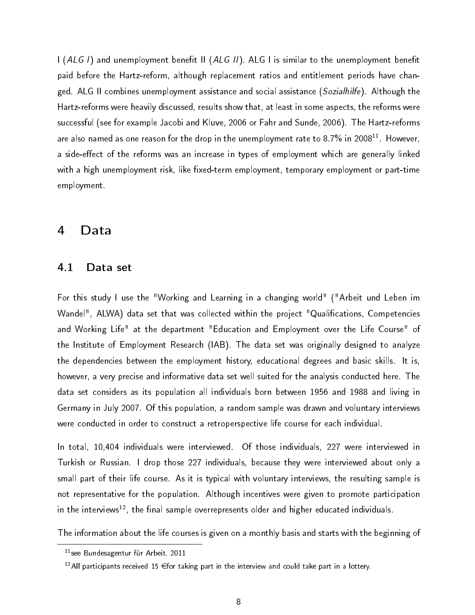I (ALG I) and unemployment benefit II (ALG II). ALG I is similar to the unemployment benefit paid before the Hartz-reform, although replacement ratios and entitlement periods have changed. ALG II combines unemployment assistance and social assistance (Sozialhilfe). Although the Hartz-reforms were heavily discussed, results show that, at least in some aspects, the reforms were successful (see for example Jacobi and Kluve, 2006 or Fahr and Sunde, 2006). The Hartz-reforms are also named as one reason for the drop in the unemployment rate to 8.7% in 2008<sup>11</sup>. However, a side-effect of the reforms was an increase in types of employment which are generally linked with a high unemployment risk, like fixed-term employment, temporary employment or part-time employment.

### 4 Data

#### 4.1 Data set

For this study I use the "Working and Learning in a changing world" ("Arbeit und Leben im Wandel", ALWA) data set that was collected within the project "Qualifications, Competencies and Working Life" at the department "Education and Employment over the Life Course" of the Institute of Employment Research (IAB). The data set was originally designed to analyze the dependencies between the employment history, educational degrees and basic skills. It is, however, a very precise and informative data set well suited for the analysis conducted here. The data set considers as its population all individuals born between 1956 and 1988 and living in Germany in July 2007. Of this population, a random sample was drawn and voluntary interviews were conducted in order to construct a retroperspective life course for each individual.

In total, 10,404 individuals were interviewed. Of those individuals, 227 were interviewed in Turkish or Russian. I drop those 227 individuals, because they were interviewed about only a small part of their life course. As it is typical with voluntary interviews, the resulting sample is not representative for the population. Although incentives were given to promote participation in the interviews<sup>12</sup>, the final sample overrepresents older and higher educated individuals.

The information about the life courses is given on a monthly basis and starts with the beginning of

<sup>11</sup>see Bundesagentur für Arbeit, 2011

 $12$ All participants received 15  $\in$  for taking part in the interview and could take part in a lottery.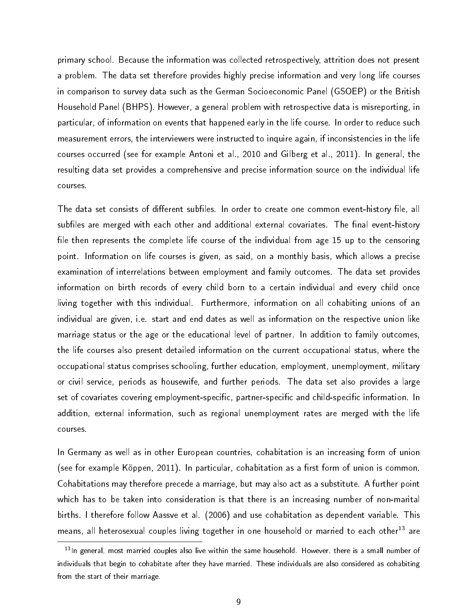primary school. Because the information was collected retrospectively, attrition does not present a problem. The data set therefore provides highly precise information and very long life courses in comparison to survey data such as the German Socioeconomic Panel (GSOEP) or the British Household Panel (BHPS). However, a general problem with retrospective data is misreporting, in particular, of information on events that happened early in the life course. In order to reduce such measurement errors, the interviewers were instructed to inquire again, if inconsistencies in the life courses occurred (see for example Antoni et al., 2010 and Gilberg et al., 2011). In general, the resulting data set provides a comprehensive and precise information source on the individual life courses.

The data set consists of different subfiles. In order to create one common event-history file, all subfiles are merged with each other and additional external covariates. The final event-history file then represents the complete life course of the individual from age 15 up to the censoring point. Information on life courses is given, as said, on a monthly basis, which allows a precise examination of interrelations between employment and family outcomes. The data set provides information on birth records of every child born to a certain individual and every child once living together with this individual. Furthermore, information on all cohabiting unions of an individual are given, i.e. start and end dates as well as information on the respective union like marriage status or the age or the educational level of partner. In addition to family outcomes, the life courses also present detailed information on the current occupational status, where the occupational status comprises schooling, further education, employment, unemployment, military or civil service, periods as housewife, and further periods. The data set also provides a large set of covariates covering employment-specific, partner-specific and child-specific information. In addition, external information, such as regional unemployment rates are merged with the life courses.

In Germany as well as in other European countries, cohabitation is an increasing form of union (see for example Köppen, 2011). In particular, cohabitation as a first form of union is common. Cohabitations may therefore precede a marriage, but may also act as a substitute. A further point which has to be taken into consideration is that there is an increasing number of non-marital births. I therefore follow Aassve et al. (2006) and use cohabitation as dependent variable. This means, all heterosexual couples living together in one household or married to each other<sup>13</sup> are

<sup>&</sup>lt;sup>13</sup>In general, most married couples also live within the same household. However, there is a small number of individuals that begin to cohabitate after they have married. These individuals are also considered as cohabiting from the start of their marriage.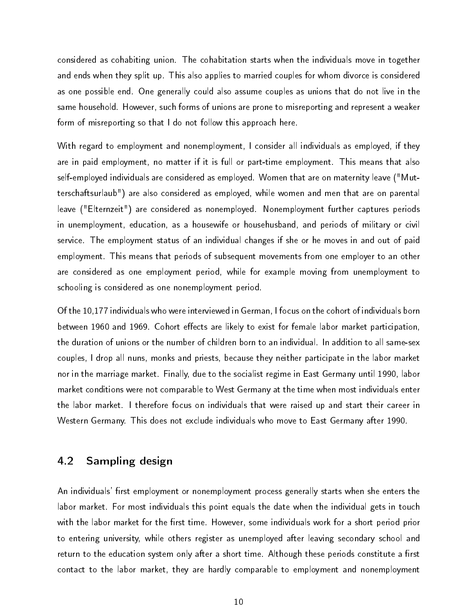considered as cohabiting union. The cohabitation starts when the individuals move in together and ends when they split up. This also applies to married couples for whom divorce is considered as one possible end. One generally could also assume couples as unions that do not live in the same household. However, such forms of unions are prone to misreporting and represent a weaker form of misreporting so that I do not follow this approach here.

With regard to employment and nonemployment, I consider all individuals as employed, if they are in paid employment, no matter if it is full or part-time employment. This means that also self-employed individuals are considered as employed. Women that are on maternity leave ("Mutterschaftsurlaub") are also considered as employed, while women and men that are on parental leave ("Elternzeit") are considered as nonemployed. Nonemployment further captures periods in unemployment, education, as a housewife or househusband, and periods of military or civil service. The employment status of an individual changes if she or he moves in and out of paid employment. This means that periods of subsequent movements from one employer to an other are considered as one employment period, while for example moving from unemployment to schooling is considered as one nonemployment period.

Of the 10,177 individuals who were interviewed in German, I focus on the cohort of individuals born between 1960 and 1969. Cohort effects are likely to exist for female labor market participation, the duration of unions or the number of children born to an individual. In addition to all same-sex couples, I drop all nuns, monks and priests, because they neither participate in the labor market nor in the marriage market. Finally, due to the socialist regime in East Germany until 1990, labor market conditions were not comparable to West Germany at the time when most individuals enter the labor market. I therefore focus on individuals that were raised up and start their career in Western Germany. This does not exclude individuals who move to East Germany after 1990.

#### 4.2 Sampling design

An individuals' first employment or nonemployment process generally starts when she enters the labor market. For most individuals this point equals the date when the individual gets in touch with the labor market for the first time. However, some individuals work for a short period prior to entering university, while others register as unemployed after leaving secondary school and return to the education system only after a short time. Although these periods constitute a first contact to the labor market, they are hardly comparable to employment and nonemployment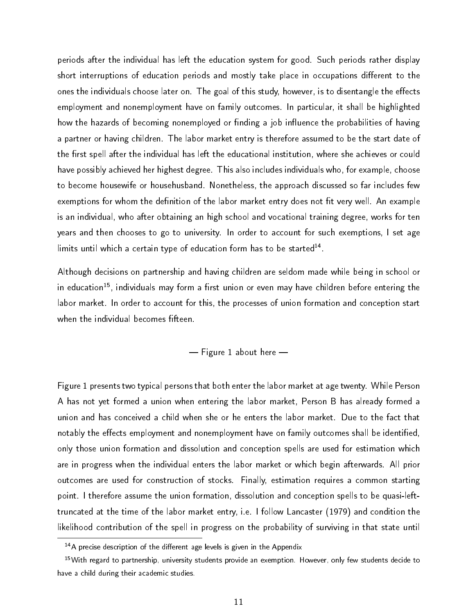periods after the individual has left the education system for good. Such periods rather display short interruptions of education periods and mostly take place in occupations different to the ones the individuals choose later on. The goal of this study, however, is to disentangle the effects employment and nonemployment have on family outcomes. In particular, it shall be highlighted how the hazards of becoming nonemployed or finding a job influence the probabilities of having a partner or having children. The labor market entry is therefore assumed to be the start date of the first spell after the individual has left the educational institution, where she achieves or could have possibly achieved her highest degree. This also includes individuals who, for example, choose to become housewife or househusband. Nonetheless, the approach discussed so far includes few exemptions for whom the definition of the labor market entry does not fit very well. An example is an individual, who after obtaining an high school and vocational training degree, works for ten years and then chooses to go to university. In order to account for such exemptions, I set age limits until which a certain type of education form has to be started $^{14}$ .

Although decisions on partnership and having children are seldom made while being in school or in education<sup>15</sup>, individuals may form a first union or even may have children before entering the labor market. In order to account for this, the processes of union formation and conception start when the individual becomes fifteen.

 $-$  Figure 1 about here  $-$ 

Figure 1 presents two typical persons that both enter the labor market at age twenty. While Person A has not yet formed a union when entering the labor market, Person B has already formed a union and has conceived a child when she or he enters the labor market. Due to the fact that notably the effects employment and nonemployment have on family outcomes shall be identified, only those union formation and dissolution and conception spells are used for estimation which are in progress when the individual enters the labor market or which begin afterwards. All prior outcomes are used for construction of stocks. Finally, estimation requires a common starting point. I therefore assume the union formation, dissolution and conception spells to be quasi-lefttruncated at the time of the labor market entry, i.e. I follow Lancaster (1979) and condition the likelihood contribution of the spell in progress on the probability of surviving in that state until

 $14A$  precise description of the different age levels is given in the Appendix

<sup>&</sup>lt;sup>15</sup>With regard to partnership, university students provide an exemption. However, only few students decide to have a child during their academic studies.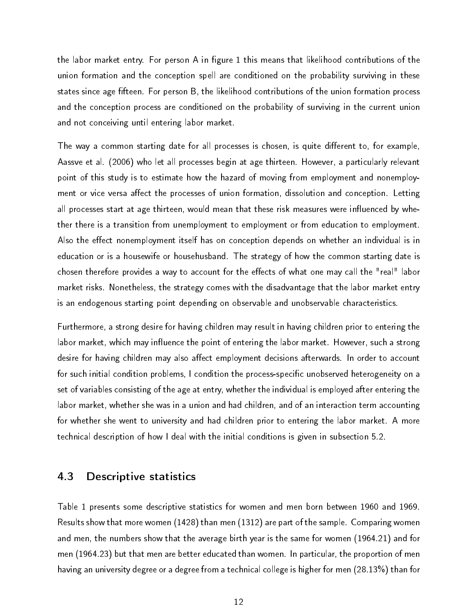the labor market entry. For person A in figure 1 this means that likelihood contributions of the union formation and the conception spell are conditioned on the probability surviving in these states since age fifteen. For person B, the likelihood contributions of the union formation process and the conception process are conditioned on the probability of surviving in the current union and not conceiving until entering labor market.

The way a common starting date for all processes is chosen, is quite different to, for example, Aassve et al. (2006) who let all processes begin at age thirteen. However, a particularly relevant point of this study is to estimate how the hazard of moving from employment and nonemployment or vice versa affect the processes of union formation, dissolution and conception. Letting all processes start at age thirteen, would mean that these risk measures were influenced by whether there is a transition from unemployment to employment or from education to employment. Also the effect nonemployment itself has on conception depends on whether an individual is in education or is a housewife or househusband. The strategy of how the common starting date is chosen therefore provides a way to account for the effects of what one may call the "real" labor market risks. Nonetheless, the strategy comes with the disadvantage that the labor market entry is an endogenous starting point depending on observable and unobservable characteristics.

Furthermore, a strong desire for having children may result in having children prior to entering the labor market, which may influence the point of entering the labor market. However, such a strong desire for having children may also affect employment decisions afterwards. In order to account for such initial condition problems, I condition the process-specific unobserved heterogeneity on a set of variables consisting of the age at entry, whether the individual is employed after entering the labor market, whether she was in a union and had children, and of an interaction term accounting for whether she went to university and had children prior to entering the labor market. A more technical description of how I deal with the initial conditions is given in subsection 5.2.

#### 4.3 Descriptive statistics

Table 1 presents some descriptive statistics for women and men born between 1960 and 1969. Results show that more women (1428) than men (1312) are part of the sample. Comparing women and men, the numbers show that the average birth year is the same for women (1964.21) and for men (1964.23) but that men are better educated than women. In particular, the proportion of men having an university degree or a degree from a technical college is higher for men (28.13%) than for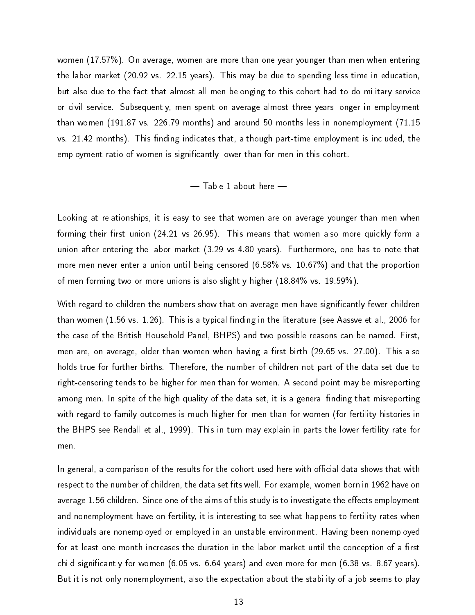women (17.57%). On average, women are more than one year younger than men when entering the labor market (20.92 vs. 22.15 years). This may be due to spending less time in education, but also due to the fact that almost all men belonging to this cohort had to do military service or civil service. Subsequently, men spent on average almost three years longer in employment than women (191.87 vs. 226.79 months) and around 50 months less in nonemployment (71.15 vs. 21.42 months). This finding indicates that, although part-time employment is included, the employment ratio of women is significantly lower than for men in this cohort.

#### $-$  Table 1 about here  $-$

Looking at relationships, it is easy to see that women are on average younger than men when forming their first union (24.21 vs 26.95). This means that women also more quickly form a union after entering the labor market (3.29 vs 4.80 years). Furthermore, one has to note that more men never enter a union until being censored (6.58% vs. 10.67%) and that the proportion of men forming two or more unions is also slightly higher (18.84% vs. 19.59%).

With regard to children the numbers show that on average men have significantly fewer children than women (1.56 vs. 1.26). This is a typical finding in the literature (see Aassve et al., 2006 for the case of the British Household Panel, BHPS) and two possible reasons can be named. First, men are, on average, older than women when having a first birth (29.65 vs. 27.00). This also holds true for further births. Therefore, the number of children not part of the data set due to right-censoring tends to be higher for men than for women. A second point may be misreporting among men. In spite of the high quality of the data set, it is a general finding that misreporting with regard to family outcomes is much higher for men than for women (for fertility histories in the BHPS see Rendall et al., 1999). This in turn may explain in parts the lower fertility rate for men.

In general, a comparison of the results for the cohort used here with official data shows that with respect to the number of children, the data set fits well. For example, women born in 1962 have on average 1.56 children. Since one of the aims of this study is to investigate the effects employment and nonemployment have on fertility, it is interesting to see what happens to fertility rates when individuals are nonemployed or employed in an unstable environment. Having been nonemployed for at least one month increases the duration in the labor market until the conception of a first child significantly for women  $(6.05 \text{ vs. } 6.64 \text{ years})$  and even more for men  $(6.38 \text{ vs. } 8.67 \text{ years})$ . But it is not only nonemployment, also the expectation about the stability of a job seems to play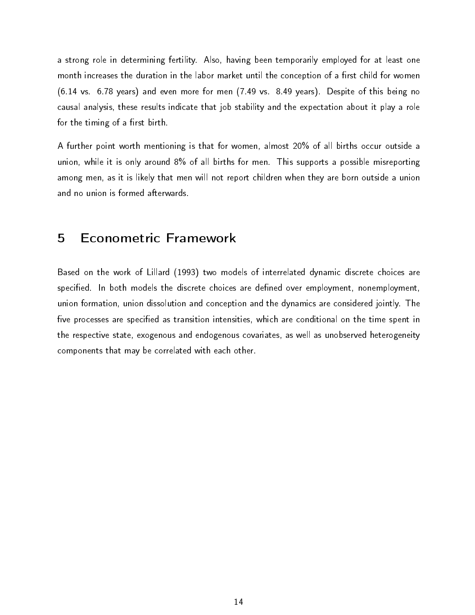a strong role in determining fertility. Also, having been temporarily employed for at least one month increases the duration in the labor market until the conception of a first child for women (6.14 vs. 6.78 years) and even more for men (7.49 vs. 8.49 years). Despite of this being no causal analysis, these results indicate that job stability and the expectation about it play a role for the timing of a first birth.

A further point worth mentioning is that for women, almost 20% of all births occur outside a union, while it is only around 8% of all births for men. This supports a possible misreporting among men, as it is likely that men will not report children when they are born outside a union and no union is formed afterwards.

## 5 Econometric Framework

Based on the work of Lillard (1993) two models of interrelated dynamic discrete choices are specified. In both models the discrete choices are defined over employment, nonemployment, union formation, union dissolution and conception and the dynamics are considered jointly. The five processes are specified as transition intensities, which are conditional on the time spent in the respective state, exogenous and endogenous covariates, as well as unobserved heterogeneity components that may be correlated with each other.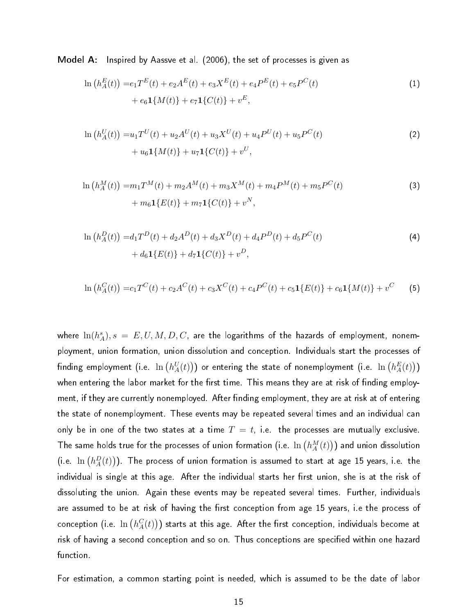Model A: Inspired by Aassve et al. (2006), the set of processes is given as

$$
\ln (h_A^E(t)) = e_1 T^E(t) + e_2 A^E(t) + e_3 X^E(t) + e_4 P^E(t) + e_5 P^C(t) + e_6 \mathbf{1}{M(t)} + e_7 \mathbf{1}{C(t)} + v^E,
$$
\n(1)

$$
\ln (h_A^U(t)) = u_1 T^U(t) + u_2 A^U(t) + u_3 X^U(t) + u_4 P^U(t) + u_5 P^C(t) + u_6 \mathbf{1}{M(t)} + u_7 \mathbf{1}{C(t)} + v^U,
$$
\n(2)

$$
\ln (h_A^M(t)) = m_1 T^M(t) + m_2 A^M(t) + m_3 X^M(t) + m_4 P^M(t) + m_5 P^C(t)
$$
  
+ 
$$
m_6 \mathbf{1}{E(t)} + m_7 \mathbf{1}{C(t)} + v^N,
$$
 (3)

$$
\ln (h_A^D(t)) = d_1 T^D(t) + d_2 A^D(t) + d_3 X^D(t) + d_4 P^D(t) + d_5 P^C(t) + d_6 \mathbf{1}_{E(t)} + d_7 \mathbf{1}_{C(t)} + v^D,
$$
\n(4)

$$
\ln (h_A^C(t)) = c_1 T^C(t) + c_2 A^C(t) + c_3 X^C(t) + c_4 P^C(t) + c_5 \mathbf{1}\{E(t)\} + c_6 \mathbf{1}\{M(t)\} + v^C \tag{5}
$$

where  $\ln(h_A^s), s~=~E, U, M, D, C,$  are the logarithms of the hazards of employment, nonemployment, union formation, union dissolution and conception. Individuals start the processes of finding employment (i.e.  $\ln\big(h_A^U(t)\big)\big)$  or entering the state of nonemployment (i.e.  $\ln\big(h_A^E(t)\big)\big)$ when entering the labor market for the first time. This means they are at risk of finding employment, if they are currently nonemployed. After finding employment, they are at risk at of entering the state of nonemployment. These events may be repeated several times and an individual can only be in one of the two states at a time  $T = t$ , i.e. the processes are mutually exclusive. The same holds true for the processes of union formation (i.e.  $\ln\left(h_{A}^M(t)\right))$  and union dissolution (i.e.  $\ln\left(h_A^D(t)\right))$  . The process of union formation is assumed to start at age 15 years, i.e. the individual is single at this age. After the individual starts her first union, she is at the risk of dissoluting the union. Again these events may be repeated several times. Further, individuals are assumed to be at risk of having the first conception from age 15 years, i.e the process of conception (i.e.  $\ln\left(h_A^C(t)\right))$  starts at this age. After the first conception, individuals become at risk of having a second conception and so on. Thus conceptions are specified within one hazard function.

For estimation, a common starting point is needed, which is assumed to be the date of labor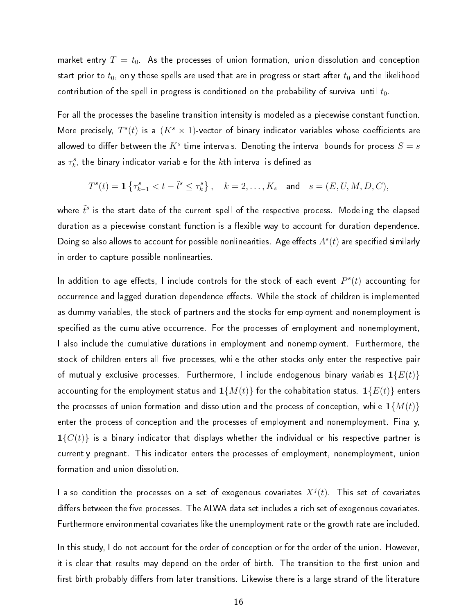market entry  $T = t_0$ . As the processes of union formation, union dissolution and conception start prior to  $t_0$ , only those spells are used that are in progress or start after  $t_0$  and the likelihood contribution of the spell in progress is conditioned on the probability of survival until  $t_0$ .

For all the processes the baseline transition intensity is modeled as a piecewise constant function. More precisely,  $T^s(t)$  is a  $(K^s \times 1)$ -vector of binary indicator variables whose coefficients are allowed to differ between the  $K^s$  time intervals. Denoting the interval bounds for process  $S=s$ as  $\tau_k^s$ , the binary indicator variable for the  $k$ th interval is defined as

$$
T^s(t) = \mathbf{1}\left\{\tau_{k-1}^s < t - \tilde{t}^s \leq \tau_k^s\right\}, \quad k = 2, \ldots, K_s \quad \text{and} \quad s = (E, U, M, D, C),
$$

where  $\tilde{t}^s$  is the start date of the current spell of the respective process. Modeling the elapsed duration as a piecewise constant function is a flexible way to account for duration dependence. Doing so also allows to account for possible nonlinearities. Age effects  $A^s(t)$  are specified similarly in order to capture possible nonlinearties.

In addition to age effects, I include controls for the stock of each event  $P^s(t)$  accounting for occurrence and lagged duration dependence effects. While the stock of children is implemented as dummy variables, the stock of partners and the stocks for employment and nonemployment is specified as the cumulative occurrence. For the processes of employment and nonemployment, I also include the cumulative durations in employment and nonemployment. Furthermore, the stock of children enters all five processes, while the other stocks only enter the respective pair of mutually exclusive processes. Furthermore, I include endogenous binary variables  $1{E(t)}$ accounting for the employment status and  $1\{M(t)\}$  for the cohabitation status.  $1\{E(t)\}$  enters the processes of union formation and dissolution and the process of conception, while  $1\{M(t)\}$ enter the process of conception and the processes of employment and nonemployment. Finally,  $\mathbf{1}\{C(t)\}$  is a binary indicator that displays whether the individual or his respective partner is currently pregnant. This indicator enters the processes of employment, nonemployment, union formation and union dissolution.

I also condition the processes on a set of exogenous covariates  $X^j(t)$ . This set of covariates differs between the five processes. The ALWA data set includes a rich set of exogenous covariates. Furthermore environmental covariates like the unemployment rate or the growth rate are included.

In this study, I do not account for the order of conception or for the order of the union. However, it is clear that results may depend on the order of birth. The transition to the first union and first birth probably differs from later transitions. Likewise there is a large strand of the literature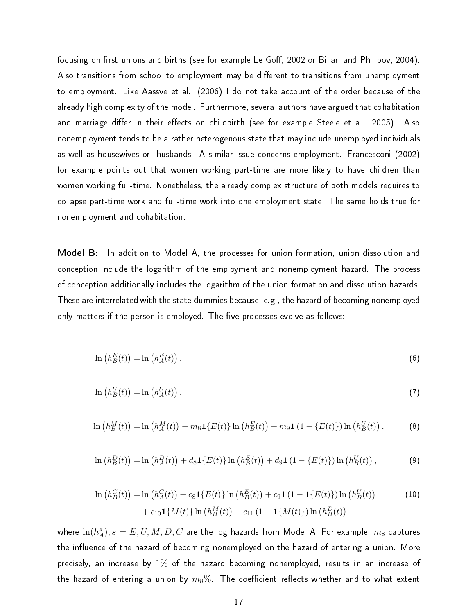focusing on first unions and births (see for example Le Goff, 2002 or Billari and Philipov, 2004). Also transitions from school to employment may be different to transitions from unemployment to employment. Like Aassve et al. (2006) I do not take account of the order because of the already high complexity of the model. Furthermore, several authors have argued that cohabitation and marriage differ in their effects on childbirth (see for example Steele et al. 2005). Also nonemployment tends to be a rather heterogenous state that may include unemployed individuals as well as housewives or -husbands. A similar issue concerns employment. Francesconi (2002) for example points out that women working part-time are more likely to have children than women working full-time. Nonetheless, the already complex structure of both models requires to collapse part-time work and full-time work into one employment state. The same holds true for nonemployment and cohabitation.

Model B: In addition to Model A, the processes for union formation, union dissolution and conception include the logarithm of the employment and nonemployment hazard. The process of conception additionally includes the logarithm of the union formation and dissolution hazards. These are interrelated with the state dummies because, e.g., the hazard of becoming nonemployed only matters if the person is employed. The five processes evolve as follows:

$$
\ln\left(h_B^E(t)\right) = \ln\left(h_A^E(t)\right),\tag{6}
$$

$$
\ln\left(h_B^U(t)\right) = \ln\left(h_A^U(t)\right),\tag{7}
$$

$$
\ln\left(h_B^M(t)\right) = \ln\left(h_A^M(t)\right) + m_8 \mathbf{1}_{\{E(t)\}\ln\left(h_B^E(t)\right) + m_9 \mathbf{1}_{\{1 - \{E(t)\}\}\ln\left(h_B^U(t)\right),\tag{8}
$$

$$
\ln\left(h_B^D(t)\right) = \ln\left(h_A^D(t)\right) + d_8\mathbf{1}\{E(t)\}\ln\left(h_B^E(t)\right) + d_9\mathbf{1}\left(1 - \{E(t)\}\right)\ln\left(h_B^U(t)\right),\tag{9}
$$

$$
\ln (h_B^C(t)) = \ln (h_A^C(t)) + c_8 \mathbf{1}\{E(t)\} \ln (h_B^E(t)) + c_9 \mathbf{1} (1 - \mathbf{1}\{E(t)\}) \ln (h_B^U(t))
$$
\n
$$
+ c_{10} \mathbf{1}\{M(t)\} \ln (h_B^M(t)) + c_{11} (1 - \mathbf{1}\{M(t)\}) \ln (h_B^D(t))
$$
\n(10)

where  $\ln(h_A^s), s=E,U,M,D,C$  are the log hazards from Model A. For example,  $m_8$  captures the influence of the hazard of becoming nonemployed on the hazard of entering a union. More precisely, an increase by 1% of the hazard becoming nonemployed, results in an increase of the hazard of entering a union by  $m_8\%$  . The coefficient reflects whether and to what extent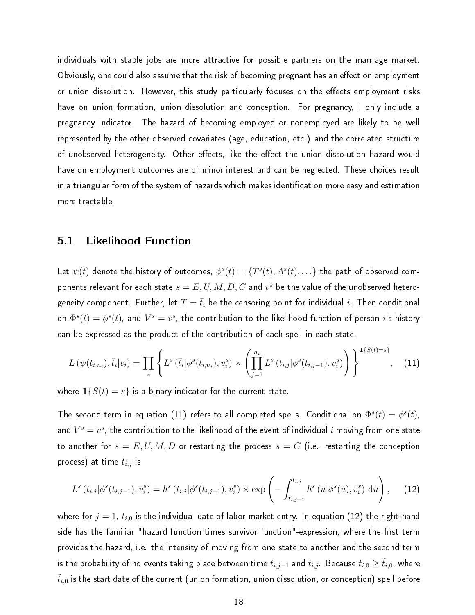individuals with stable jobs are more attractive for possible partners on the marriage market. Obviously, one could also assume that the risk of becoming pregnant has an effect on employment or union dissolution. However, this study particularly focuses on the effects employment risks have on union formation, union dissolution and conception. For pregnancy, I only include a pregnancy indicator. The hazard of becoming employed or nonemployed are likely to be well represented by the other observed covariates (age, education, etc.) and the correlated structure of unobserved heterogeneity. Other effects, like the effect the union dissolution hazard would have on employment outcomes are of minor interest and can be neglected. These choices result in a triangular form of the system of hazards which makes identification more easy and estimation more tractable.

#### 5.1 Likelihood Function

Let  $\psi(t)$  denote the history of outcomes,  $\phi^s(t)=\{T^s(t),A^s(t),\ldots\}$  the path of observed components relevant for each state  $s=E,U,M,D,C$  and  $v^s$  be the value of the unobserved heterogeneity component. Further, let  $T=\bar{t}_i$  be the censoring point for individual  $i$ . Then conditional on  $\Phi^s(t)=\phi^s(t)$ , and  $V^s=v^s$ , the contribution to the likelihood function of person  $i$ 's history can be expressed as the product of the contribution of each spell in each state,

$$
L(\psi(t_{i,n_i}), \bar{t}_i | v_i) = \prod_s \left\{ L^s(\bar{t}_i | \phi^s(t_{i,n_i}), v_i^s) \times \left( \prod_{j=1}^{n_i} L^s(t_{i,j} | \phi^s(t_{i,j-1}), v_i^s) \right) \right\}^{1\{S(t) = s\}}, \quad (11)
$$

where  $1\{S(t) = s\}$  is a binary indicator for the current state.

The second term in equation (11) refers to all completed spells. Conditional on  $\Phi^s(t)=\phi^s(t),$ and  $V^s=v^s$ , the contribution to the likelihood of the event of individual  $i$  moving from one state to another for  $s = E, U, M, D$  or restarting the process  $s = C$  (i.e. restarting the conception process) at time  $t_{i,j}$  is

$$
L^{s}(t_{i,j}|\phi^{s}(t_{i,j-1}), v_{i}^{s}) = h^{s}(t_{i,j}|\phi^{s}(t_{i,j-1}), v_{i}^{s}) \times \exp\left(-\int_{t_{i,j-1}}^{t_{i,j}} h^{s}(u|\phi^{s}(u), v_{i}^{s}) du\right), \quad (12)
$$

where for  $j = 1$ ,  $t_{i,0}$  is the individual date of labor market entry. In equation (12) the right-hand side has the familiar "hazard function times survivor function"-expression, where the first term provides the hazard, i.e. the intensity of moving from one state to another and the second term is the probability of no events taking place between time  $t_{i,j-1}$  and  $t_{i,j}$ . Because  $t_{i,0}\ge \tilde{t}_{i,0}$ , where  $\tilde{t}_{i,0}$  is the start date of the current (union formation, union dissolution, or conception) spell before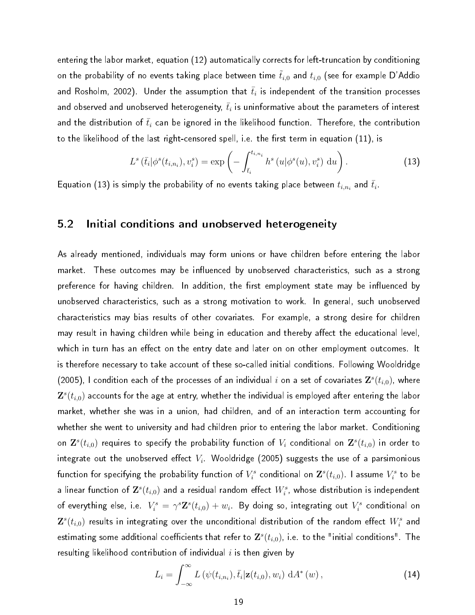entering the labor market, equation (12) automatically corrects for left-truncation by conditioning on the probability of no events taking place between time  $\tilde{t}_{i,0}$  and  $t_{i,0}$  (see for example D'Addio and Rosholm, 2002). Under the assumption that  $\bar{t}_i$  is independent of the transition processes and observed and unobserved heterogeneity,  $\bar{t}_i$  is uninformative about the parameters of interest and the distribution of  $\bar{t}_i$  can be ignored in the likelihood function. Therefore, the contribution to the likelihood of the last right-censored spell, i.e. the first term in equation (11), is

$$
L^s\left(\bar{t}_i|\phi^s(t_{i,n_i}),v_i^s\right) = \exp\left(-\int_{\bar{t}_i}^{t_{i,n_i}} h^s\left(u|\phi^s(u),v_i^s\right) \, \mathrm{d}u\right). \tag{13}
$$

Equation (13) is simply the probability of no events taking place between  $t_{i,n_i}$  and  $\bar{t}_i.$ 

#### 5.2 Initial conditions and unobserved heterogeneity

As already mentioned, individuals may form unions or have children before entering the labor market. These outcomes may be influenced by unobserved characteristics, such as a strong preference for having children. In addition, the first employment state may be influenced by unobserved characteristics, such as a strong motivation to work. In general, such unobserved characteristics may bias results of other covariates. For example, a strong desire for children may result in having children while being in education and thereby affect the educational level, which in turn has an effect on the entry date and later on on other employment outcomes. It is therefore necessary to take account of these so-called initial conditions. Following Wooldridge (2005), I condition each of the processes of an individual  $i$  on a set of covariates  $\mathbf{Z}^s(t_{i,0})$ , where  $\mathbf{Z}^s(t_{i,0})$  accounts for the age at entry, whether the individual is employed after entering the labor market, whether she was in a union, had children, and of an interaction term accounting for whether she went to university and had children prior to entering the labor market. Conditioning on  $\mathbf{Z}^s(t_{i,0})$  requires to specify the probability function of  $V_i$  conditional on  $\mathbf{Z}^s(t_{i,0})$  in order to integrate out the unobserved effect  $V_i$  . Wooldridge (2005) suggests the use of a parsimonious function for specifying the probability function of  $V_i^s$  conditional on  $\mathbf{Z}^s(t_{i,0})$ . I assume  $V_i^s$  to be a linear function of  $\mathbf{Z}^s(t_{i,0})$  and a residual random effect  $W^s_i$ , whose distribution is independent of everything else, i.e.  $V_i^s=\gamma^s\mathbf{Z}^s(t_{i,0})+w_i$ . By doing so, integrating out  $V_i^s$  conditional on  $\mathbf{Z}^s(t_{i,0})$  results in integrating over the unconditional distribution of the random effect  $W_i^s$  and estimating some additional coefficients that refer to  $\mathbf{Z}^s(t_{i,0})$ , i.e. to the "initial conditions". The resulting likelihood contribution of individual  $i$  is then given by

$$
L_i = \int_{-\infty}^{\infty} L(\psi(t_{i,n_i}), \bar{t}_i | \mathbf{z}(t_{i,0}), w_i) \, dA^*(w), \qquad (14)
$$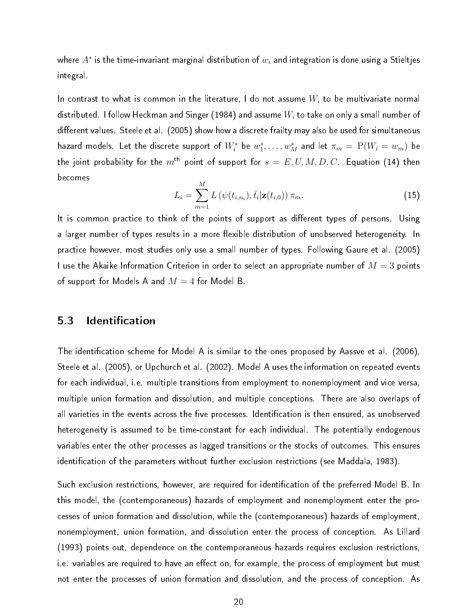where  $A^*$  is the time-invariant marginal distribution of  $w_i$  and integration is done using a Stieltjes integral.

In contrast to what is common in the literature, I do not assume  $W_i$  to be multivariate normal distributed. I follow Heckman and Singer (1984) and assume  $W_i$  to take on only a small number of different values. Steele et al. (2005) show how a discrete frailty may also be used for simultaneous hazard models. Let the discrete support of  $W_i^s$  be  $w_1^s,\ldots,w_M^s$  and let  $\pi_m=\,{\rm P}(W_i=w_m)$  be the joint probability for the  $m<sup>th</sup>$  point of support for  $s = E, U, M, D, C$ . Equation (14) then becomes

$$
L_i = \sum_{m=1}^{M} L(\psi(t_{i,n_i}), \bar{t}_i | \mathbf{z}(t_{i,0})) \, \pi_m.
$$
 (15)

It is common practice to think of the points of support as different types of persons. Using a larger number of types results in a more flexible distribution of unobserved heterogeneity. In practice however, most studies only use a small number of types. Following Gaure et al. (2005) I use the Akaike Information Criterion in order to select an appropriate number of  $M=3$  points of support for Models A and  $M = 4$  for Model B.

#### 5.3 Identification

The identification scheme for Model A is similar to the ones proposed by Aassve et al. (2006), Steele et al. (2005), or Upchurch et al. (2002). Model A uses the information on repeated events for each individual, i.e. multiple transitions from employment to nonemployment and vice versa, multiple union formation and dissolution, and multiple conceptions. There are also overlaps of all varieties in the events across the five processes. Identification is then ensured, as unobserved heterogeneity is assumed to be time-constant for each individual. The potentially endogenous variables enter the other processes as lagged transitions or the stocks of outcomes. This ensures identification of the parameters without further exclusion restrictions (see Maddala, 1983).

Such exclusion restrictions, however, are required for identification of the preferred Model B. In this model, the (contemporaneous) hazards of employment and nonemployment enter the processes of union formation and dissolution, while the (contemporaneous) hazards of employment, nonemployment, union formation, and dissolution enter the process of conception. As Lillard (1993) points out, dependence on the contemporaneous hazards requires exclusion restrictions, i.e. variables are required to have an effect on, for example, the process of employment but must not enter the processes of union formation and dissolution, and the process of conception. As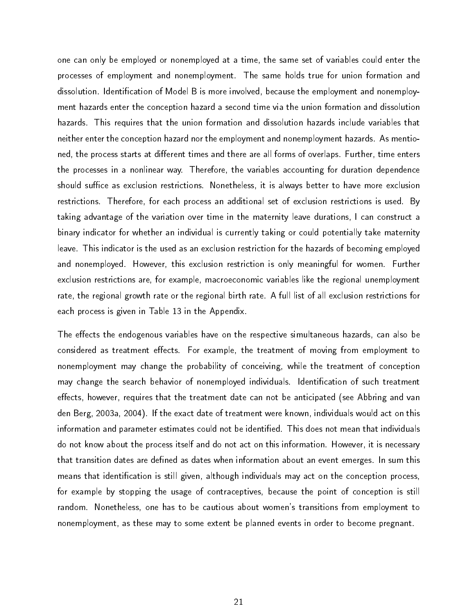one can only be employed or nonemployed at a time, the same set of variables could enter the processes of employment and nonemployment. The same holds true for union formation and dissolution. Identification of Model B is more involved, because the employment and nonemployment hazards enter the conception hazard a second time via the union formation and dissolution hazards. This requires that the union formation and dissolution hazards include variables that neither enter the conception hazard nor the employment and nonemployment hazards. As mentioned, the process starts at different times and there are all forms of overlaps. Further, time enters the processes in a nonlinear way. Therefore, the variables accounting for duration dependence should suffice as exclusion restrictions. Nonetheless, it is always better to have more exclusion restrictions. Therefore, for each process an additional set of exclusion restrictions is used. By taking advantage of the variation over time in the maternity leave durations, I can construct a binary indicator for whether an individual is currently taking or could potentially take maternity leave. This indicator is the used as an exclusion restriction for the hazards of becoming employed and nonemployed. However, this exclusion restriction is only meaningful for women. Further exclusion restrictions are, for example, macroeconomic variables like the regional unemployment rate, the regional growth rate or the regional birth rate. A full list of all exclusion restrictions for each process is given in Table 13 in the Appendix.

The effects the endogenous variables have on the respective simultaneous hazards, can also be considered as treatment effects. For example, the treatment of moving from employment to nonemployment may change the probability of conceiving, while the treatment of conception may change the search behavior of nonemployed individuals. Identification of such treatment effects, however, requires that the treatment date can not be anticipated (see Abbring and van den Berg, 2003a, 2004). If the exact date of treatment were known, individuals would act on this information and parameter estimates could not be identified. This does not mean that individuals do not know about the process itself and do not act on this information. However, it is necessary that transition dates are defined as dates when information about an event emerges. In sum this means that identication is still given, although individuals may act on the conception process, for example by stopping the usage of contraceptives, because the point of conception is still random. Nonetheless, one has to be cautious about women's transitions from employment to nonemployment, as these may to some extent be planned events in order to become pregnant.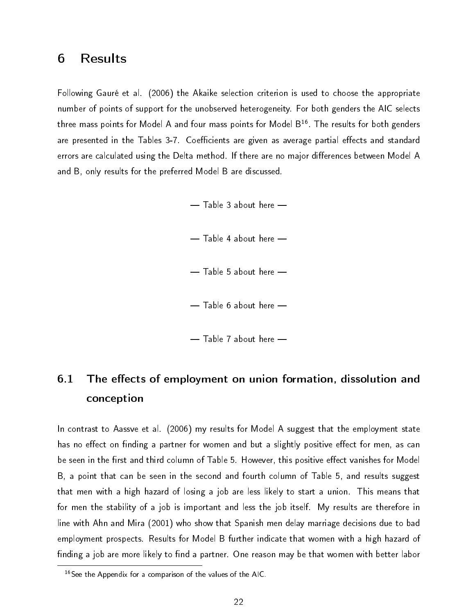## 6 Results

Following Gauré et al. (2006) the Akaike selection criterion is used to choose the appropriate number of points of support for the unobserved heterogeneity. For both genders the AIC selects three mass points for Model A and four mass points for Model  $B^{16}$ . The results for both genders are presented in the Tables 3-7. Coefficients are given as average partial effects and standard errors are calculated using the Delta method. If there are no major differences between Model A and B, only results for the preferred Model B are discussed.

> $-$  Table 3 about here  $-$  Table 4 about here  $-$  Table 5 about here  $-$  Table 6 about here  $-$

#### $-$  Table 7 about here  $-$

## 6.1 The effects of employment on union formation, dissolution and conception

In contrast to Aassve et al. (2006) my results for Model A suggest that the employment state has no effect on finding a partner for women and but a slightly positive effect for men, as can be seen in the first and third column of Table 5. However, this positive effect vanishes for Model B, a point that can be seen in the second and fourth column of Table 5, and results suggest that men with a high hazard of losing a job are less likely to start a union. This means that for men the stability of a job is important and less the job itself. My results are therefore in line with Ahn and Mira (2001) who show that Spanish men delay marriage decisions due to bad employment prospects. Results for Model B further indicate that women with a high hazard of finding a job are more likely to find a partner. One reason may be that women with better labor

 $16$ See the Appendix for a comparison of the values of the AIC.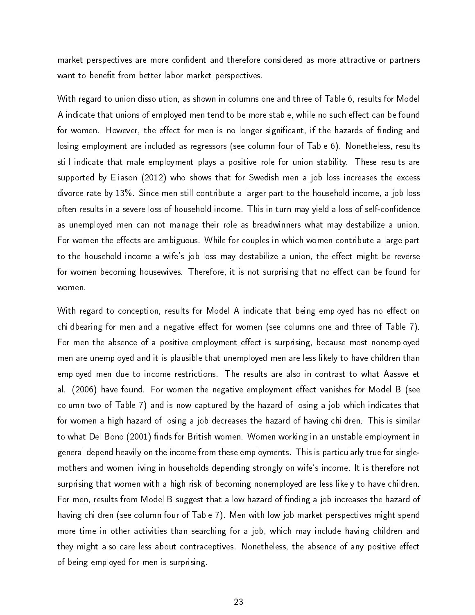market perspectives are more confident and therefore considered as more attractive or partners want to benefit from better labor market perspectives.

With regard to union dissolution, as shown in columns one and three of Table 6, results for Model A indicate that unions of employed men tend to be more stable, while no such effect can be found for women. However, the effect for men is no longer significant, if the hazards of finding and losing employment are included as regressors (see column four of Table 6). Nonetheless, results still indicate that male employment plays a positive role for union stability. These results are supported by Eliason (2012) who shows that for Swedish men a job loss increases the excess divorce rate by 13%. Since men still contribute a larger part to the household income, a job loss often results in a severe loss of household income. This in turn may yield a loss of self-confidence as unemployed men can not manage their role as breadwinners what may destabilize a union. For women the effects are ambiguous. While for couples in which women contribute a large part to the household income a wife's job loss may destabilize a union, the effect might be reverse for women becoming housewives. Therefore, it is not surprising that no effect can be found for women.

With regard to conception, results for Model A indicate that being employed has no effect on childbearing for men and a negative effect for women (see columns one and three of Table 7). For men the absence of a positive employment effect is surprising, because most nonemployed men are unemployed and it is plausible that unemployed men are less likely to have children than employed men due to income restrictions. The results are also in contrast to what Aassve et al. (2006) have found. For women the negative employment effect vanishes for Model B (see column two of Table 7) and is now captured by the hazard of losing a job which indicates that for women a high hazard of losing a job decreases the hazard of having children. This is similar to what Del Bono (2001) finds for British women. Women working in an unstable employment in general depend heavily on the income from these employments. This is particularly true for singlemothers and women living in households depending strongly on wife's income. It is therefore not surprising that women with a high risk of becoming nonemployed are less likely to have children. For men, results from Model B suggest that a low hazard of finding a job increases the hazard of having children (see column four of Table 7). Men with low job market perspectives might spend more time in other activities than searching for a job, which may include having children and they might also care less about contraceptives. Nonetheless, the absence of any positive effect of being employed for men is surprising.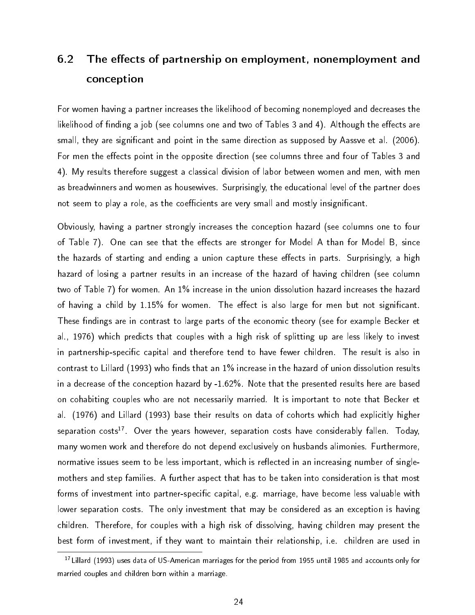## 6.2 The effects of partnership on employment, nonemployment and conception

For women having a partner increases the likelihood of becoming nonemployed and decreases the likelihood of finding a job (see columns one and two of Tables 3 and 4). Although the effects are small, they are significant and point in the same direction as supposed by Aassve et al. (2006). For men the effects point in the opposite direction (see columns three and four of Tables 3 and 4). My results therefore suggest a classical division of labor between women and men, with men as breadwinners and women as housewives. Surprisingly, the educational level of the partner does not seem to play a role, as the coefficients are very small and mostly insignificant.

Obviously, having a partner strongly increases the conception hazard (see columns one to four of Table 7). One can see that the effects are stronger for Model A than for Model B, since the hazards of starting and ending a union capture these effects in parts. Surprisingly, a high hazard of losing a partner results in an increase of the hazard of having children (see column two of Table 7) for women. An 1% increase in the union dissolution hazard increases the hazard of having a child by 1.15% for women. The effect is also large for men but not significant. These findings are in contrast to large parts of the economic theory (see for example Becker et al., 1976) which predicts that couples with a high risk of splitting up are less likely to invest in partnership-specific capital and therefore tend to have fewer children. The result is also in contrast to Lillard (1993) who finds that an 1% increase in the hazard of union dissolution results in a decrease of the conception hazard by -1.62%. Note that the presented results here are based on cohabiting couples who are not necessarily married. It is important to note that Becker et al. (1976) and Lillard (1993) base their results on data of cohorts which had explicitly higher separation costs<sup>17</sup>. Over the years however, separation costs have considerably fallen. Today, many women work and therefore do not depend exclusively on husbands alimonies. Furthermore, normative issues seem to be less important, which is reflected in an increasing number of singlemothers and step families. A further aspect that has to be taken into consideration is that most forms of investment into partner-specific capital, e.g. marriage, have become less valuable with lower separation costs. The only investment that may be considered as an exception is having children. Therefore, for couples with a high risk of dissolving, having children may present the best form of investment, if they want to maintain their relationship, i.e. children are used in

<sup>17</sup>Lillard (1993) uses data of US-American marriages for the period from 1955 until 1985 and accounts only for married couples and children born within a marriage.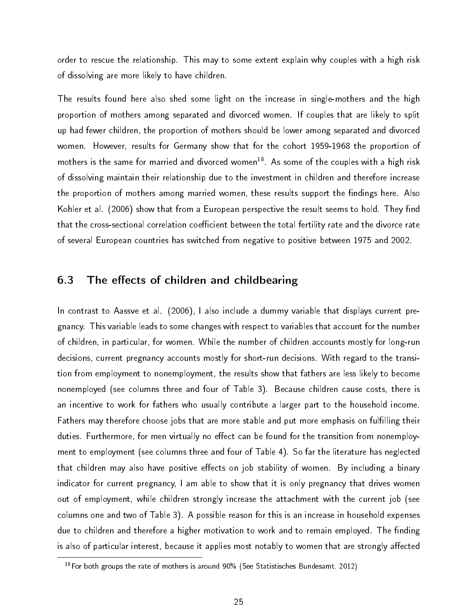order to rescue the relationship. This may to some extent explain why couples with a high risk of dissolving are more likely to have children.

The results found here also shed some light on the increase in single-mothers and the high proportion of mothers among separated and divorced women. If couples that are likely to split up had fewer children, the proportion of mothers should be lower among separated and divorced women. However, results for Germany show that for the cohort 1959-1968 the proportion of mothers is the same for married and divorced women<sup>18</sup>. As some of the couples with a high risk of dissolving maintain their relationship due to the investment in children and therefore increase the proportion of mothers among married women, these results support the findings here. Also Kohler et al. (2006) show that from a European perspective the result seems to hold. They find that the cross-sectional correlation coefficient between the total fertility rate and the divorce rate of several European countries has switched from negative to positive between 1975 and 2002.

#### 6.3 The effects of children and childbearing

In contrast to Aassve et al. (2006), I also include a dummy variable that displays current pregnancy. This variable leads to some changes with respect to variables that account for the number of children, in particular, for women. While the number of children accounts mostly for long-run decisions, current pregnancy accounts mostly for short-run decisions. With regard to the transition from employment to nonemployment, the results show that fathers are less likely to become nonemployed (see columns three and four of Table 3). Because children cause costs, there is an incentive to work for fathers who usually contribute a larger part to the household income. Fathers may therefore choose jobs that are more stable and put more emphasis on fullling their duties. Furthermore, for men virtually no effect can be found for the transition from nonemployment to employment (see columns three and four of Table 4). So far the literature has neglected that children may also have positive effects on job stability of women. By including a binary indicator for current pregnancy, I am able to show that it is only pregnancy that drives women out of employment, while children strongly increase the attachment with the current job (see columns one and two of Table 3). A possible reason for this is an increase in household expenses due to children and therefore a higher motivation to work and to remain employed. The finding is also of particular interest, because it applies most notably to women that are strongly affected

 $18$ For both groups the rate of mothers is around 90% (See Statistisches Bundesamt, 2012)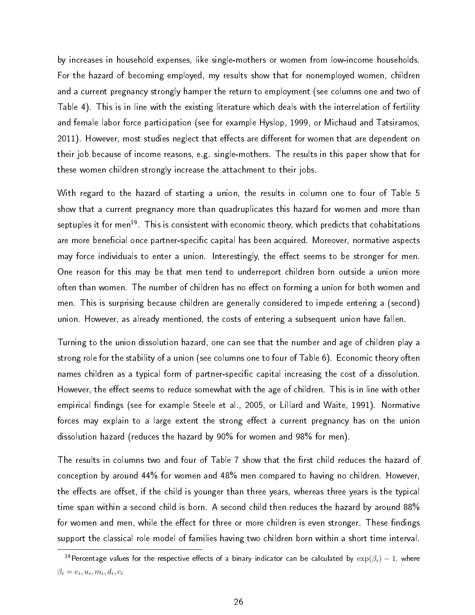by increases in household expenses, like single-mothers or women from low-income households. For the hazard of becoming employed, my results show that for nonemployed women, children and a current pregnancy strongly hamper the return to employment (see columns one and two of Table 4). This is in line with the existing literature which deals with the interrelation of fertility and female labor force participation (see for example Hyslop, 1999, or Michaud and Tatsiramos, 2011). However, most studies neglect that effects are different for women that are dependent on their job because of income reasons, e.g. single-mothers. The results in this paper show that for these women children strongly increase the attachment to their jobs.

With regard to the hazard of starting a union, the results in column one to four of Table 5 show that a current pregnancy more than quadruplicates this hazard for women and more than septuples it for men<sup>19</sup>. This is consistent with economic theory, which predicts that cohabitations are more beneficial once partner-specific capital has been acquired. Moreover, normative aspects may force individuals to enter a union. Interestingly, the effect seems to be stronger for men. One reason for this may be that men tend to underreport children born outside a union more often than women. The number of children has no effect on forming a union for both women and men. This is surprising because children are generally considered to impede entering a (second) union. However, as already mentioned, the costs of entering a subsequent union have fallen.

Turning to the union dissolution hazard, one can see that the number and age of children play a strong role for the stability of a union (see columns one to four of Table 6). Economic theory often names children as a typical form of partner-specific capital increasing the cost of a dissolution. However, the effect seems to reduce somewhat with the age of children. This is in line with other empirical findings (see for example Steele et al., 2005, or Lillard and Waite, 1991). Normative forces may explain to a large extent the strong effect a current pregnancy has on the union dissolution hazard (reduces the hazard by 90% for women and 98% for men).

The results in columns two and four of Table 7 show that the first child reduces the hazard of conception by around 44% for women and 48% men compared to having no children. However, the effects are offset, if the child is younger than three years, whereas three years is the typical time span within a second child is born. A second child then reduces the hazard by around 88% for women and men, while the effect for three or more children is even stronger. These findings support the classical role model of families having two children born within a short time interval.

 $^{19}$ Percentage values for the respective effects of a binary indicator can be calculated by  $\exp(\beta_i) - 1$ , where  $\beta_i = e_i, u_i, m_i, d_i, c_i$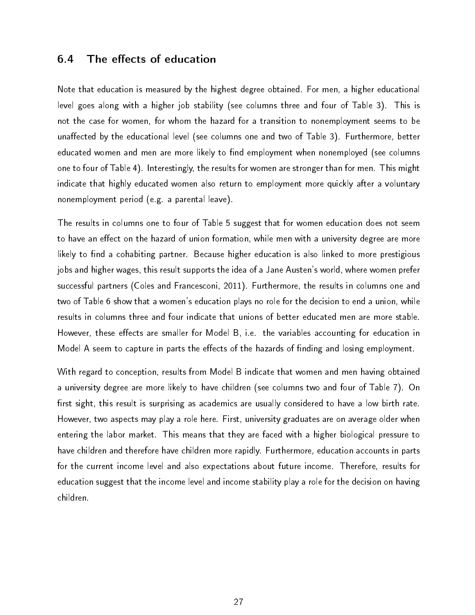#### 6.4 The effects of education

Note that education is measured by the highest degree obtained. For men, a higher educational level goes along with a higher job stability (see columns three and four of Table 3). This is not the case for women, for whom the hazard for a transition to nonemployment seems to be unaffected by the educational level (see columns one and two of Table 3). Furthermore, better educated women and men are more likely to find employment when nonemployed (see columns one to four of Table 4). Interestingly, the results for women are stronger than for men. This might indicate that highly educated women also return to employment more quickly after a voluntary nonemployment period (e.g. a parental leave).

The results in columns one to four of Table 5 suggest that for women education does not seem to have an effect on the hazard of union formation, while men with a university degree are more likely to find a cohabiting partner. Because higher education is also linked to more prestigious jobs and higher wages, this result supports the idea of a Jane Austen's world, where women prefer successful partners (Coles and Francesconi, 2011). Furthermore, the results in columns one and two of Table 6 show that a women's education plays no role for the decision to end a union, while results in columns three and four indicate that unions of better educated men are more stable. However, these effects are smaller for Model B, i.e. the variables accounting for education in Model A seem to capture in parts the effects of the hazards of finding and losing employment.

With regard to conception, results from Model B indicate that women and men having obtained a university degree are more likely to have children (see columns two and four of Table 7). On first sight, this result is surprising as academics are usually considered to have a low birth rate. However, two aspects may play a role here. First, university graduates are on average older when entering the labor market. This means that they are faced with a higher biological pressure to have children and therefore have children more rapidly. Furthermore, education accounts in parts for the current income level and also expectations about future income. Therefore, results for education suggest that the income level and income stability play a role for the decision on having children.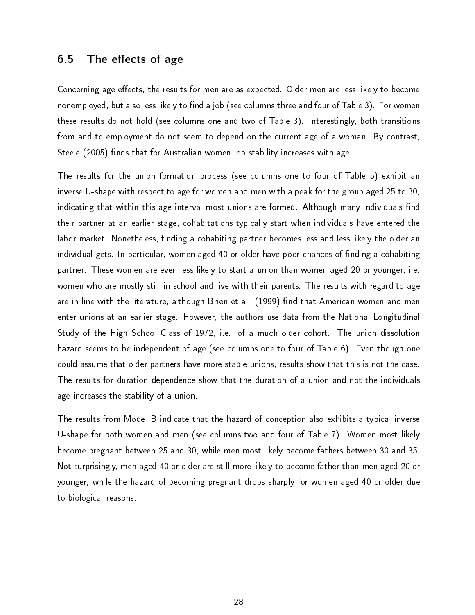#### 6.5 The effects of age

Concerning age effects, the results for men are as expected. Older men are less likely to become nonemployed, but also less likely to find a job (see columns three and four of Table 3). For women these results do not hold (see columns one and two of Table 3). Interestingly, both transitions from and to employment do not seem to depend on the current age of a woman. By contrast, Steele (2005) finds that for Australian women job stability increases with age.

The results for the union formation process (see columns one to four of Table 5) exhibit an inverse U-shape with respect to age for women and men with a peak for the group aged 25 to 30, indicating that within this age interval most unions are formed. Although many individuals find their partner at an earlier stage, cohabitations typically start when individuals have entered the labor market. Nonetheless, finding a cohabiting partner becomes less and less likely the older an individual gets. In particular, women aged 40 or older have poor chances of finding a cohabiting partner. These women are even less likely to start a union than women aged 20 or younger, i.e. women who are mostly still in school and live with their parents. The results with regard to age are in line with the literature, although Brien et al. (1999) find that American women and men enter unions at an earlier stage. However, the authors use data from the National Longitudinal Study of the High School Class of 1972, i.e. of a much older cohort. The union dissolution hazard seems to be independent of age (see columns one to four of Table 6). Even though one could assume that older partners have more stable unions, results show that this is not the case. The results for duration dependence show that the duration of a union and not the individuals age increases the stability of a union.

The results from Model B indicate that the hazard of conception also exhibits a typical inverse U-shape for both women and men (see columns two and four of Table 7). Women most likely become pregnant between 25 and 30, while men most likely become fathers between 30 and 35. Not surprisingly, men aged 40 or older are still more likely to become father than men aged 20 or younger, while the hazard of becoming pregnant drops sharply for women aged 40 or older due to biological reasons.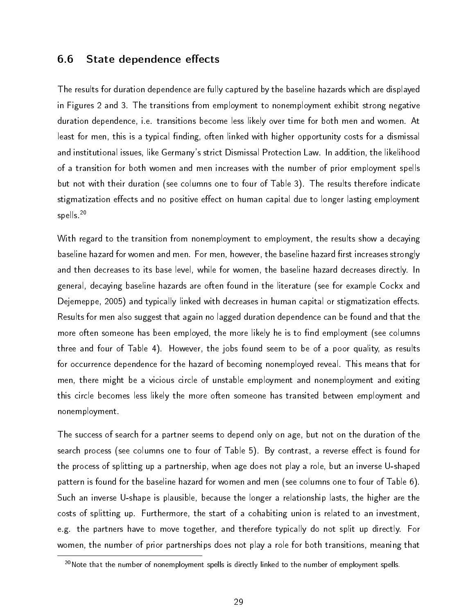#### 6.6 State dependence effects

The results for duration dependence are fully captured by the baseline hazards which are displayed in Figures 2 and 3. The transitions from employment to nonemployment exhibit strong negative duration dependence, i.e. transitions become less likely over time for both men and women. At least for men, this is a typical finding, often linked with higher opportunity costs for a dismissal and institutional issues, like Germany's strict Dismissal Protection Law. In addition, the likelihood of a transition for both women and men increases with the number of prior employment spells but not with their duration (see columns one to four of Table 3). The results therefore indicate stigmatization effects and no positive effect on human capital due to longer lasting employment spells.<sup>20</sup>

With regard to the transition from nonemployment to employment, the results show a decaying baseline hazard for women and men. For men, however, the baseline hazard first increases strongly and then decreases to its base level, while for women, the baseline hazard decreases directly. In general, decaying baseline hazards are often found in the literature (see for example Cockx and Dejemeppe, 2005) and typically linked with decreases in human capital or stigmatization effects. Results for men also suggest that again no lagged duration dependence can be found and that the more often someone has been employed, the more likely he is to find employment (see columns three and four of Table 4). However, the jobs found seem to be of a poor quality, as results for occurrence dependence for the hazard of becoming nonemployed reveal. This means that for men, there might be a vicious circle of unstable employment and nonemployment and exiting this circle becomes less likely the more often someone has transited between employment and nonemployment.

The success of search for a partner seems to depend only on age, but not on the duration of the search process (see columns one to four of Table 5). By contrast, a reverse effect is found for the process of splitting up a partnership, when age does not play a role, but an inverse U-shaped pattern is found for the baseline hazard for women and men (see columns one to four of Table 6). Such an inverse U-shape is plausible, because the longer a relationship lasts, the higher are the costs of splitting up. Furthermore, the start of a cohabiting union is related to an investment, e.g. the partners have to move together, and therefore typically do not split up directly. For women, the number of prior partnerships does not play a role for both transitions, meaning that

 $20$ Note that the number of nonemployment spells is directly linked to the number of employment spells.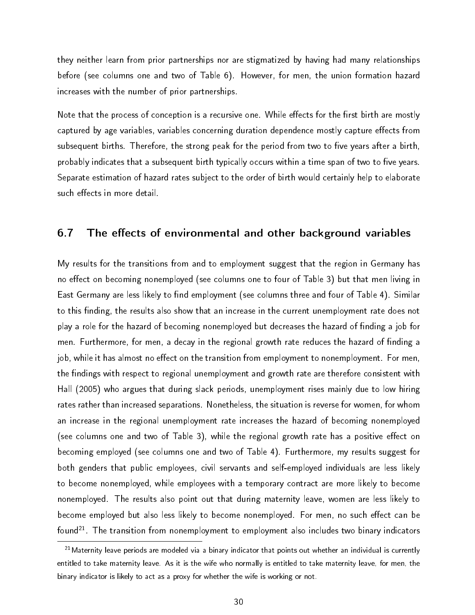they neither learn from prior partnerships nor are stigmatized by having had many relationships before (see columns one and two of Table 6). However, for men, the union formation hazard increases with the number of prior partnerships.

Note that the process of conception is a recursive one. While effects for the first birth are mostly captured by age variables, variables concerning duration dependence mostly capture effects from subsequent births. Therefore, the strong peak for the period from two to five years after a birth, probably indicates that a subsequent birth typically occurs within a time span of two to five years. Separate estimation of hazard rates subject to the order of birth would certainly help to elaborate such effects in more detail.

#### 6.7 The effects of environmental and other background variables

My results for the transitions from and to employment suggest that the region in Germany has no effect on becoming nonemployed (see columns one to four of Table 3) but that men living in East Germany are less likely to find employment (see columns three and four of Table 4). Similar to this finding, the results also show that an increase in the current unemployment rate does not play a role for the hazard of becoming nonemployed but decreases the hazard of finding a job for men. Furthermore, for men, a decay in the regional growth rate reduces the hazard of finding a job, while it has almost no effect on the transition from employment to nonemployment. For men, the findings with respect to regional unemployment and growth rate are therefore consistent with Hall (2005) who argues that during slack periods, unemployment rises mainly due to low hiring rates rather than increased separations. Nonetheless, the situation is reverse for women, for whom an increase in the regional unemployment rate increases the hazard of becoming nonemployed (see columns one and two of Table 3), while the regional growth rate has a positive effect on becoming employed (see columns one and two of Table 4). Furthermore, my results suggest for both genders that public employees, civil servants and self-employed individuals are less likely to become nonemployed, while employees with a temporary contract are more likely to become nonemployed. The results also point out that during maternity leave, women are less likely to become employed but also less likely to become nonemployed. For men, no such effect can be found<sup>21</sup>. The transition from nonemployment to employment also includes two binary indicators

 $21$ Maternity leave periods are modeled via a binary indicator that points out whether an individual is currently entitled to take maternity leave. As it is the wife who normally is entitled to take maternity leave, for men, the binary indicator is likely to act as a proxy for whether the wife is working or not.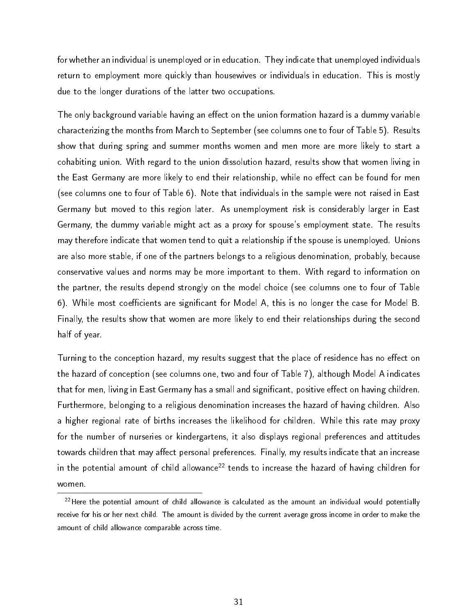for whether an individual is unemployed or in education. They indicate that unemployed individuals return to employment more quickly than housewives or individuals in education. This is mostly due to the longer durations of the latter two occupations.

The only background variable having an effect on the union formation hazard is a dummy variable characterizing the months from March to September (see columns one to four of Table 5). Results show that during spring and summer months women and men more are more likely to start a cohabiting union. With regard to the union dissolution hazard, results show that women living in the East Germany are more likely to end their relationship, while no effect can be found for men (see columns one to four of Table 6). Note that individuals in the sample were not raised in East Germany but moved to this region later. As unemployment risk is considerably larger in East Germany, the dummy variable might act as a proxy for spouse's employment state. The results may therefore indicate that women tend to quit a relationship if the spouse is unemployed. Unions are also more stable, if one of the partners belongs to a religious denomination, probably, because conservative values and norms may be more important to them. With regard to information on the partner, the results depend strongly on the model choice (see columns one to four of Table 6). While most coefficients are significant for Model A, this is no longer the case for Model B. Finally, the results show that women are more likely to end their relationships during the second half of year.

Turning to the conception hazard, my results suggest that the place of residence has no effect on the hazard of conception (see columns one, two and four of Table 7), although Model A indicates that for men, living in East Germany has a small and significant, positive effect on having children. Furthermore, belonging to a religious denomination increases the hazard of having children. Also a higher regional rate of births increases the likelihood for children. While this rate may proxy for the number of nurseries or kindergartens, it also displays regional preferences and attitudes towards children that may affect personal preferences. Finally, my results indicate that an increase in the potential amount of child allowance<sup>22</sup> tends to increase the hazard of having children for women.

 $22$ Here the potential amount of child allowance is calculated as the amount an individual would potentially receive for his or her next child. The amount is divided by the current average gross income in order to make the amount of child allowance comparable across time.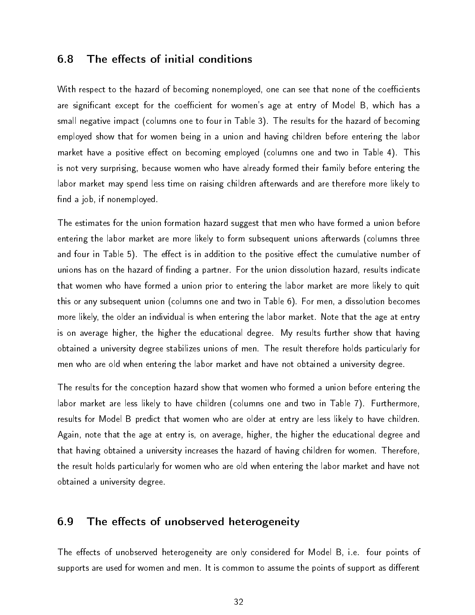#### **6.8** The effects of initial conditions

With respect to the hazard of becoming nonemployed, one can see that none of the coefficients are significant except for the coefficient for women's age at entry of Model B, which has a small negative impact (columns one to four in Table 3). The results for the hazard of becoming employed show that for women being in a union and having children before entering the labor market have a positive effect on becoming employed (columns one and two in Table 4). This is not very surprising, because women who have already formed their family before entering the labor market may spend less time on raising children afterwards and are therefore more likely to find a job, if nonemployed.

The estimates for the union formation hazard suggest that men who have formed a union before entering the labor market are more likely to form subsequent unions afterwards (columns three and four in Table 5). The effect is in addition to the positive effect the cumulative number of unions has on the hazard of finding a partner. For the union dissolution hazard, results indicate that women who have formed a union prior to entering the labor market are more likely to quit this or any subsequent union (columns one and two in Table 6). For men, a dissolution becomes more likely, the older an individual is when entering the labor market. Note that the age at entry is on average higher, the higher the educational degree. My results further show that having obtained a university degree stabilizes unions of men. The result therefore holds particularly for men who are old when entering the labor market and have not obtained a university degree.

The results for the conception hazard show that women who formed a union before entering the labor market are less likely to have children (columns one and two in Table 7). Furthermore, results for Model B predict that women who are older at entry are less likely to have children. Again, note that the age at entry is, on average, higher, the higher the educational degree and that having obtained a university increases the hazard of having children for women. Therefore, the result holds particularly for women who are old when entering the labor market and have not obtained a university degree.

#### 6.9 The effects of unobserved heterogeneity

The effects of unobserved heterogeneity are only considered for Model B, i.e. four points of supports are used for women and men. It is common to assume the points of support as different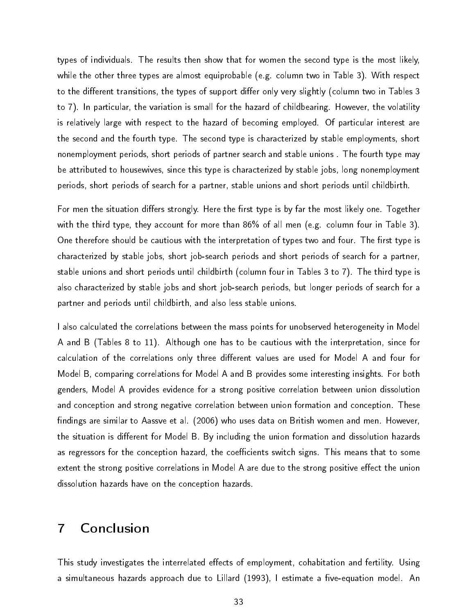types of individuals. The results then show that for women the second type is the most likely, while the other three types are almost equiprobable (e.g. column two in Table 3). With respect to the different transitions, the types of support differ only very slightly (column two in Tables 3 to 7). In particular, the variation is small for the hazard of childbearing. However, the volatility is relatively large with respect to the hazard of becoming employed. Of particular interest are the second and the fourth type. The second type is characterized by stable employments, short nonemployment periods, short periods of partner search and stable unions . The fourth type may be attributed to housewives, since this type is characterized by stable jobs, long nonemployment periods, short periods of search for a partner, stable unions and short periods until childbirth.

For men the situation differs strongly. Here the first type is by far the most likely one. Together with the third type, they account for more than 86% of all men (e.g. column four in Table 3). One therefore should be cautious with the interpretation of types two and four. The first type is characterized by stable jobs, short job-search periods and short periods of search for a partner, stable unions and short periods until childbirth (column four in Tables 3 to 7). The third type is also characterized by stable jobs and short job-search periods, but longer periods of search for a partner and periods until childbirth, and also less stable unions.

I also calculated the correlations between the mass points for unobserved heterogeneity in Model A and B (Tables 8 to 11). Although one has to be cautious with the interpretation, since for calculation of the correlations only three different values are used for Model A and four for Model B, comparing correlations for Model A and B provides some interesting insights. For both genders, Model A provides evidence for a strong positive correlation between union dissolution and conception and strong negative correlation between union formation and conception. These findings are similar to Aassve et al. (2006) who uses data on British women and men. However, the situation is different for Model B. By including the union formation and dissolution hazards as regressors for the conception hazard, the coefficients switch signs. This means that to some extent the strong positive correlations in Model A are due to the strong positive effect the union dissolution hazards have on the conception hazards.

## 7 Conclusion

This study investigates the interrelated effects of employment, cohabitation and fertility. Using a simultaneous hazards approach due to Lillard (1993), I estimate a five-equation model. An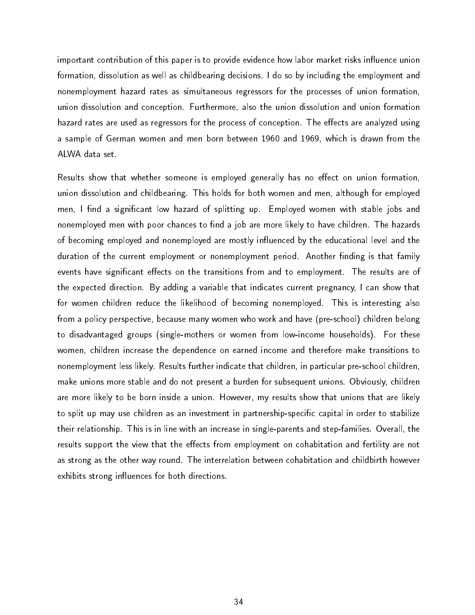important contribution of this paper is to provide evidence how labor market risks influence union formation, dissolution as well as childbearing decisions. I do so by including the employment and nonemployment hazard rates as simultaneous regressors for the processes of union formation, union dissolution and conception. Furthermore, also the union dissolution and union formation hazard rates are used as regressors for the process of conception. The effects are analyzed using a sample of German women and men born between 1960 and 1969, which is drawn from the ALWA data set.

Results show that whether someone is employed generally has no effect on union formation, union dissolution and childbearing. This holds for both women and men, although for employed men, I find a significant low hazard of splitting up. Employed women with stable jobs and nonemployed men with poor chances to find a job are more likely to have children. The hazards of becoming employed and nonemployed are mostly influenced by the educational level and the duration of the current employment or nonemployment period. Another finding is that family events have significant effects on the transitions from and to employment. The results are of the expected direction. By adding a variable that indicates current pregnancy, I can show that for women children reduce the likelihood of becoming nonemployed. This is interesting also from a policy perspective, because many women who work and have (pre-school) children belong to disadvantaged groups (single-mothers or women from low-income households). For these women, children increase the dependence on earned income and therefore make transitions to nonemployment less likely. Results further indicate that children, in particular pre-school children, make unions more stable and do not present a burden for subsequent unions. Obviously, children are more likely to be born inside a union. However, my results show that unions that are likely to split up may use children as an investment in partnership-specific capital in order to stabilize their relationship. This is in line with an increase in single-parents and step-families. Overall, the results support the view that the effects from employment on cohabitation and fertility are not as strong as the other way round. The interrelation between cohabitation and childbirth however exhibits strong influences for both directions.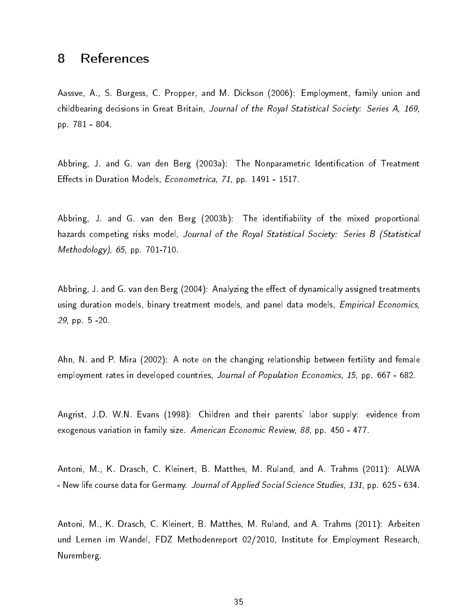## 8 References

Aassve, A., S. Burgess, C. Propper, and M. Dickson (2006): Employment, family union and childbearing decisions in Great Britain, Journal of the Royal Statistical Society: Series A, 169, pp. 781 - 804.

Abbring, J. and G. van den Berg (2003a): The Nonparametric Identification of Treatment Effects in Duration Models, Econometrica, 71, pp. 1491 - 1517.

Abbring, J. and G. van den Berg (2003b). The identifiability of the mixed proportional hazards competing risks model, Journal of the Royal Statistical Society: Series B (Statistical Methodology), 65, pp. 701-710.

Abbring, J. and G. van den Berg (2004): Analyzing the effect of dynamically assigned treatments using duration models, binary treatment models, and panel data models, *Empirical Economics*, 29, pp. 5 -20.

Ahn, N. and P. Mira (2002): A note on the changing relationship between fertility and female employment rates in developed countries, Journal of Population Economics, 15, pp. 667 - 682.

Angrist, J.D. W.N. Evans (1998): Children and their parents' labor supply: evidence from exogenous variation in family size. American Economic Review, 88, pp. 450 - 477.

Antoni, M., K. Drasch, C. Kleinert, B. Matthes, M. Ruland, and A. Trahms (2011): ALWA - New life course data for Germany. Journal of Applied Social Science Studies, 131, pp. 625 - 634.

Antoni, M., K. Drasch, C. Kleinert, B. Matthes, M. Ruland, and A. Trahms (2011): Arbeiten und Lernen im Wandel, FDZ Methodenreport 02/2010, Institute for Employment Research, Nuremberg.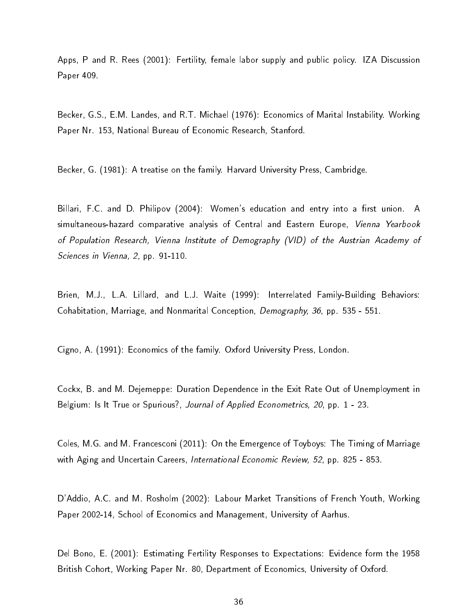Apps, P and R. Rees (2001): Fertility, female labor supply and public policy. IZA Discussion Paper 409.

Becker, G.S., E.M. Landes, and R.T. Michael (1976): Economics of Marital Instability. Working Paper Nr. 153, National Bureau of Economic Research, Stanford.

Becker, G. (1981): A treatise on the family. Harvard University Press, Cambridge.

Billari, F.C. and D. Philipov (2004): Women's education and entry into a first union. A simultaneous-hazard comparative analysis of Central and Eastern Europe, Vienna Yearbook of Population Research, Vienna Institute of Demography (VID) of the Austrian Academy of Sciences in Vienna, 2, pp. 91-110.

Brien, M.J., L.A. Lillard, and L.J. Waite (1999): Interrelated Family-Building Behaviors: Cohabitation, Marriage, and Nonmarital Conception, Demography, 36, pp. 535 - 551.

Cigno, A. (1991): Economics of the family. Oxford University Press, London.

Cockx, B. and M. Dejemeppe: Duration Dependence in the Exit Rate Out of Unemployment in Belgium: Is It True or Spurious?, Journal of Applied Econometrics, 20, pp. 1 - 23.

Coles, M.G. and M. Francesconi (2011): On the Emergence of Toyboys: The Timing of Marriage with Aging and Uncertain Careers, International Economic Review, 52, pp. 825 - 853.

D'Addio, A.C. and M. Rosholm (2002): Labour Market Transitions of French Youth, Working Paper 2002-14, School of Economics and Management, University of Aarhus.

Del Bono, E. (2001): Estimating Fertility Responses to Expectations: Evidence form the 1958 British Cohort, Working Paper Nr. 80, Department of Economics, University of Oxford.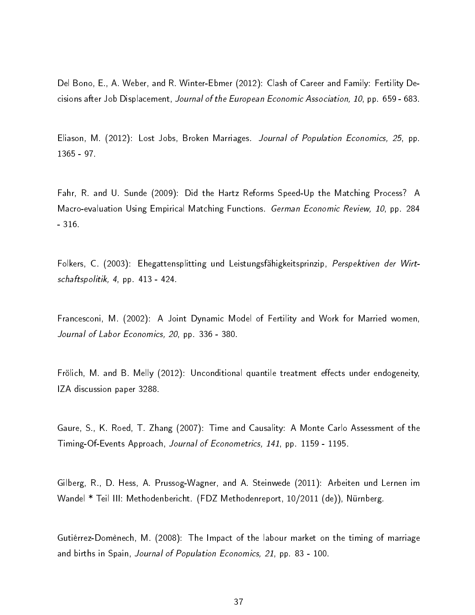Del Bono, E., A. Weber, and R. Winter-Ebmer (2012): Clash of Career and Family: Fertility Decisions after Job Displacement, Journal of the European Economic Association, 10, pp. 659 - 683.

Eliason, M. (2012): Lost Jobs, Broken Marriages. Journal of Population Economics, 25, pp. 1365 - 97.

Fahr, R. and U. Sunde (2009): Did the Hartz Reforms Speed-Up the Matching Process? A Macro-evaluation Using Empirical Matching Functions. German Economic Review, 10, pp. 284 - 316.

Folkers, C. (2003): Ehegattensplitting und Leistungsfähigkeitsprinzip, Perspektiven der Wirtschaftspolitik, 4, pp. 413 - 424.

Francesconi, M. (2002): A Joint Dynamic Model of Fertility and Work for Married women, Journal of Labor Economics, 20, pp. 336 - 380.

Frölich, M. and B. Melly (2012): Unconditional quantile treatment effects under endogeneity, IZA discussion paper 3288.

Gaure, S., K. Roed, T. Zhang (2007): Time and Causality: A Monte Carlo Assessment of the Timing-Of-Events Approach, Journal of Econometrics, 141, pp. 1159 - 1195.

Gilberg, R., D. Hess, A. Prussog-Wagner, and A. Steinwede (2011): Arbeiten und Lernen im Wandel \* Teil III: Methodenbericht. (FDZ Methodenreport, 10/2011 (de)), Nürnberg.

Gutiérrez-Domènech, M. (2008): The Impact of the labour market on the timing of marriage and births in Spain, Journal of Population Economics, 21, pp. 83 - 100.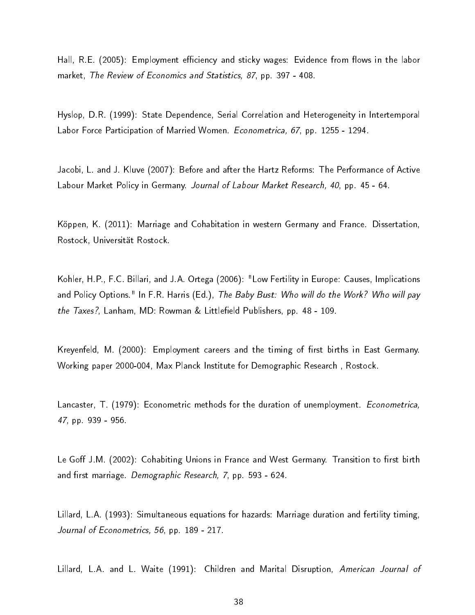Hall, R.E. (2005): Employment efficiency and sticky wages: Evidence from flows in the labor market, The Review of Economics and Statistics, 87, pp. 397 - 408.

Hyslop, D.R. (1999): State Dependence, Serial Correlation and Heterogeneity in Intertemporal Labor Force Participation of Married Women. Econometrica, 67, pp. 1255 - 1294.

Jacobi, L. and J. Kluve (2007): Before and after the Hartz Reforms: The Performance of Active Labour Market Policy in Germany. Journal of Labour Market Research, 40, pp. 45 - 64.

Köppen, K. (2011): Marriage and Cohabitation in western Germany and France. Dissertation, Rostock, Universität Rostock.

Kohler, H.P., F.C. Billari, and J.A. Ortega (2006): "Low Fertility in Europe: Causes, Implications and Policy Options." In F.R. Harris (Ed.), The Baby Bust: Who will do the Work? Who will pay the  $T$ axes?, Lanham, MD: Rowman & Littlefield Publishers, pp. 48 - 109.

Kreyenfeld, M. (2000): Employment careers and the timing of first births in East Germany. Working paper 2000-004, Max Planck Institute for Demographic Research , Rostock.

Lancaster, T. (1979): Econometric methods for the duration of unemployment. *Econometrica*, 47, pp. 939 - 956.

Le Goff J.M. (2002): Cohabiting Unions in France and West Germany. Transition to first birth and first marriage. Demographic Research, 7, pp. 593 - 624.

Lillard, L.A. (1993): Simultaneous equations for hazards: Marriage duration and fertility timing, Journal of Econometrics, 56, pp. 189 - 217.

Lillard, L.A. and L. Waite (1991): Children and Marital Disruption, American Journal of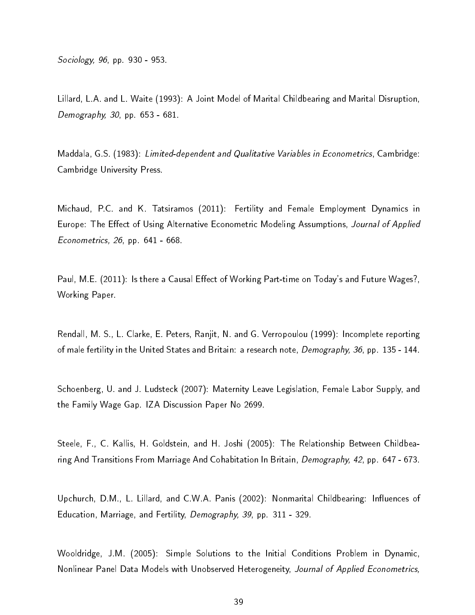Sociology, 96, pp. 930 - 953.

Lillard, L.A. and L. Waite (1993): A Joint Model of Marital Childbearing and Marital Disruption, Demography, 30, pp. 653 - 681.

Maddala, G.S. (1983): Limited-dependent and Qualitative Variables in Econometrics, Cambridge: Cambridge University Press.

Michaud, P.C. and K. Tatsiramos (2011): Fertility and Female Employment Dynamics in Europe: The Effect of Using Alternative Econometric Modeling Assumptions, Journal of Applied Econometrics, 26, pp. 641 - 668.

Paul, M.E. (2011): Is there a Causal Effect of Working Part-time on Today's and Future Wages?, Working Paper.

Rendall, M. S., L. Clarke, E. Peters, Ranjit, N. and G. Verropoulou (1999): Incomplete reporting of male fertility in the United States and Britain: a research note, *Demography, 36*, pp. 135 - 144.

Schoenberg, U. and J. Ludsteck (2007): Maternity Leave Legislation, Female Labor Supply, and the Family Wage Gap. IZA Discussion Paper No 2699.

Steele, F., C. Kallis, H. Goldstein, and H. Joshi (2005): The Relationship Between Childbearing And Transitions From Marriage And Cohabitation In Britain, Demography, 42, pp. 647 - 673.

Upchurch, D.M., L. Lillard, and C.W.A. Panis (2002): Nonmarital Childbearing: Influences of Education, Marriage, and Fertility, Demography, 39, pp. 311 - 329.

Wooldridge, J.M. (2005): Simple Solutions to the Initial Conditions Problem in Dynamic, Nonlinear Panel Data Models with Unobserved Heterogeneity, Journal of Applied Econometrics,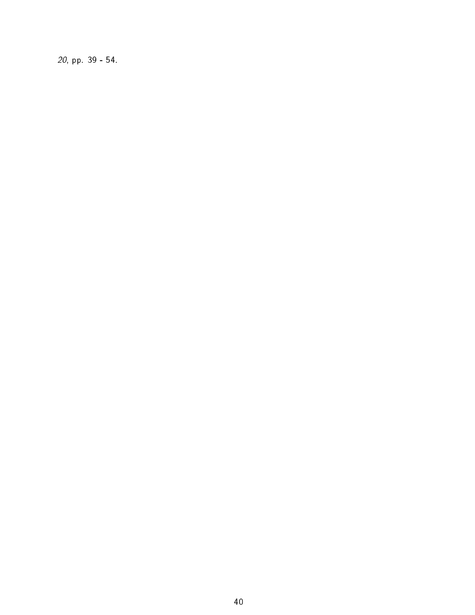20, pp. 39 - 54.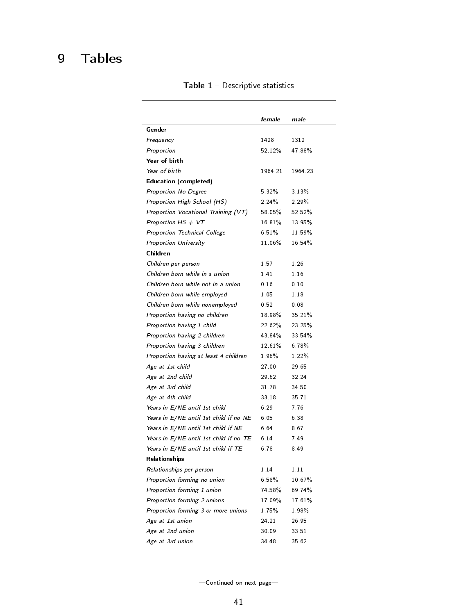## 9 Tables

|                                        | female    | male     |
|----------------------------------------|-----------|----------|
| Gender                                 |           |          |
| Frequency                              | 1428      | 1312     |
| Proportion                             | 52.12%    | 47.88%   |
| Year of birth                          |           |          |
| Year of birth                          | 1964.21   | 1964.23  |
| Education (completed)                  |           |          |
| Proportion No Degree                   | 5.32%     | $3.13\%$ |
| Proportion High School (HS)            | $2.24\%$  | $2.29\%$ |
| Proportion Vocational Training (VT)    | 58.05%    | 52.52%   |
| Proportion HS $+$ VT                   | 16.81%    | 13.95%   |
| Proportion Technical College           | 6.51%     | 11.59%   |
| Proportion University                  | 11.06%    | 16 54%   |
| Children                               |           |          |
| Children per person                    | 1.57      | 1.26     |
| Children born while in a union         | 1.41      | 1.16     |
| Children born while not in a union     | 0.16      | 0.10     |
| Children born while employed           | 1.05      | 1.18     |
| Children born while nonemployed        | 0.52      | 0.08     |
| Proportion having no children          | $18.98\%$ | 35.21%   |
| Proportion having 1 child              | 22.62%    | 23.25%   |
| Proportion having 2 children           | 43.84%    | 33.54%   |
| Proportion having 3 children           | 12.61%    | 6.78%    |
| Proportion having at least 4 children  | $1.96\%$  | $1.22\%$ |
| Age at 1st child                       | 27.00     | 29.65    |
| Age at 2nd child                       | 29.62     | 32.24    |
| Age at 3rd child                       | 3178      | 34 50    |
| Age at 4th child                       | 33 18     | 35.71    |
| Years in E/NE until 1st child          | 6.29      | 7.76     |
| Years in E/NE until 1st child if no NE | 6.05      | 6.38     |
| Years in E/NE until 1st child if NE    | 6.64      | 8.67     |
| Years in E/NE until 1st child if no TE | 6.14      | 7.49     |
| Years in E/NE until 1st child if TE    | 6.78      | 8.49     |
| Relationships                          |           |          |
| Relationships per person               | 1.14      | 1.11     |
| Proportion forming no union            | 6.58%     | 10 67%   |
| Proportion forming 1 union             | 74 58%    | 69.74%   |
| Proportion forming 2 unions            | 17.09%    | 17.61%   |
| Proportion forming 3 or more unions    | 175%      | 198%     |
| Age at 1st union                       | 24.21     | 26.95    |
| Age at 2nd union                       | 30.09     | 33.51    |
| Age at 3rd union                       | 34 48     | 35.62    |

Table  $1 -$  Descriptive statistics

-Continued on next page-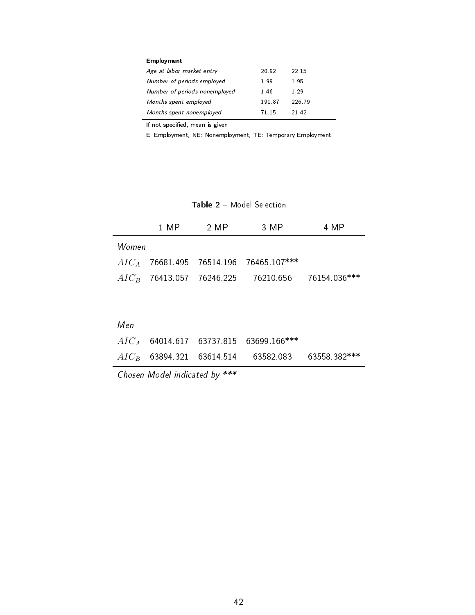| Employment                    |       |        |
|-------------------------------|-------|--------|
| Age at labor market entry     | 20.92 | 22.15  |
| Number of periods employed    | 199   | 195    |
| Number of periods nonemployed | 146   | 1 29   |
| Months spent employed         | 19187 | 226.79 |
| Months spent nonemployed      | 71 15 | 21.42  |

If not specified, mean is given

E: Employment, NE: Nonemployment, TE: Temporary Employment

Table 2 - Model Selection

|       | 1 MP = | -2 MP | 3 MP                                               | 4 MP |
|-------|--------|-------|----------------------------------------------------|------|
| Women |        |       |                                                    |      |
|       |        |       | $AIC_A$ 76681 495 76514 196 76465 107***           |      |
|       |        |       | $AIC_B$ 76413.057 76246.225 76210.656 76154.036*** |      |
|       |        |       |                                                    |      |

|  | $AIC_A$ 64014.617 63737.815 63699.166***           |  |
|--|----------------------------------------------------|--|
|  | $AIC_B$ 63894.321 63614.514 63582.083 63558.382*** |  |

Chosen Model indicated by \*\*\*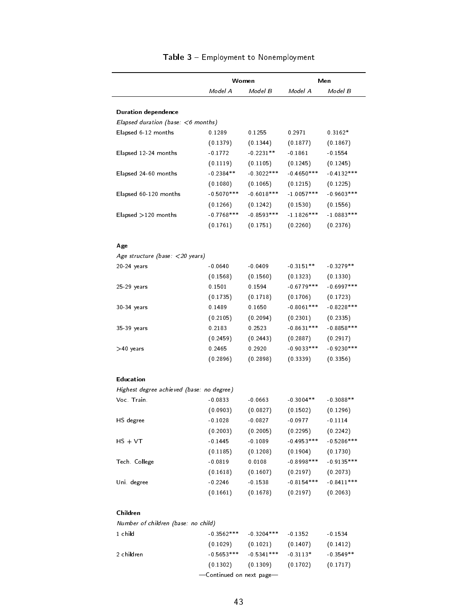|                                           | Women         |              | Men          |                          |
|-------------------------------------------|---------------|--------------|--------------|--------------------------|
|                                           | Model A       | Model B      | Model A      | Model B                  |
|                                           |               |              |              |                          |
| Duration dependence                       |               |              |              |                          |
| Elapsed duration (base: $<$ 6 months)     |               |              |              |                          |
| Elapsed 6-12 months                       | 0.1289        | 0.1255       | 0 2971       | $0.3162*$                |
|                                           | (0.1379)      | (0.1344)     | (0.1877)     | (0.1867)                 |
| Elapsed 12-24 months                      | $-0.1772$     | $-0.2231**$  | $-0.1861$    | $-0.1554$                |
|                                           | (0.1119)      | (0.1105)     | (0.1245)     | (0.1245)                 |
| Elapsed 24-60 months                      | $-0.2384**$   | $-0.3022***$ | $-0.4650***$ | $-0.4132***$             |
|                                           | (0.1080)      | (0.1065)     | (0.1215)     | (0.1225)                 |
| Elapsed 60-120 months                     | $-0.5070***$  | $-0.6018***$ | $-1.0057***$ | $-0.9603$ ***            |
|                                           | (0.1266)      | (0.1242)     | (0.1530)     | (0.1556)                 |
| Elapsed > 120 months                      | $-0.7768$ *** | $-0.8593***$ | $-1.1826***$ | $-1.0883***$             |
|                                           | (0.1761)      | (0.1751)     | (0.2260)     | (0.2376)                 |
|                                           |               |              |              |                          |
| Age                                       |               |              |              |                          |
| Age structure (base: $\langle$ 20 years)  |               |              |              |                          |
| 20-24 years                               | $-0.0640$     | $-0.0409$    | $-0.3151**$  | $-0.3279**$              |
|                                           | (0.1568)      | (0.1560)     | (0.1323)     | (0.1330)                 |
| 25-29 years                               | 0.1501        | 0.1594       | $-0.6779***$ | $-0.6997$ ***            |
|                                           | (0.1735)      | (0.1718)     | (0.1706)     | (0.1723)                 |
| 30-34 years                               | 0.1489        | 0.1650       | $-0.8061***$ | $-0.8228$ ***            |
|                                           | (0.2105)      | (0.2094)     | (0.2301)     | (0.2335)                 |
| 35-39 years                               | 0.2183        | 0.2523       | $-0.8631***$ | $-0.8858***$             |
|                                           | (0.2459)      | (0.2443)     | (0.2887)     | (0.2917)                 |
| >40 years                                 | 0.2465        | 0.2920       | $-0.9033***$ | $-0.9230***$             |
|                                           | (0.2896)      | (0.2898)     | (0.3339)     | (0.3356)                 |
| Education                                 |               |              |              |                          |
| Highest degree achieved (base: no degree) |               |              |              |                          |
| Voc Train                                 | $-0.0833$     | $-0.0663$    | $-0.3004**$  | $-0.3088**$              |
|                                           | (0.0903)      | (0.0827)     | (0.1502)     | (0.1296)                 |
| HS degree                                 | $-0.1028$     | $-0.0827$    | $-0.0977$    | $-0.1114$                |
|                                           | (0.2003)      | (0.2005)     | (0.2295)     | (0.2242)                 |
| $HS + VT$                                 | $-0.1445$     | $-0.1089$    | $-0.4953***$ | $-0.5286$ ***            |
|                                           | (0.1185)      | (0.1208)     | (0.1904)     |                          |
| Tech College                              | $-0.0819$     | 0.0108       | $-0.8998***$ | (0.1730)<br>$-0.9135***$ |
|                                           | (0.1618)      | (0.1607)     | (0.2197)     |                          |
|                                           |               |              |              | (0.2073)                 |
| Uni degree                                | $-0.2246$     | $-0.1538$    | $-0.8154***$ | $-0.8411***$             |
|                                           | (0.1661)      | (0.1678)     | (0.2197)     | (0.2063)                 |
| Children                                  |               |              |              |                          |
| Number of children (base: no child)       |               |              |              |                          |
| 1 child                                   | $-0.3562***$  | $-0.3204***$ | $-0.1352$    | $-0.1534$                |
|                                           | (0.1029)      | (0.1021)     | (0.1407)     | (0.1412)                 |
| 2 children                                | $-0.5653***$  | $-0.5341***$ | $-0.3113*$   | $-0.3549**$              |

#### Table 3 - Employment to Nonemployment

-Continued on next page-

 $(0.1302)$   $(0.1309)$   $(0.1702)$   $(0.1717)$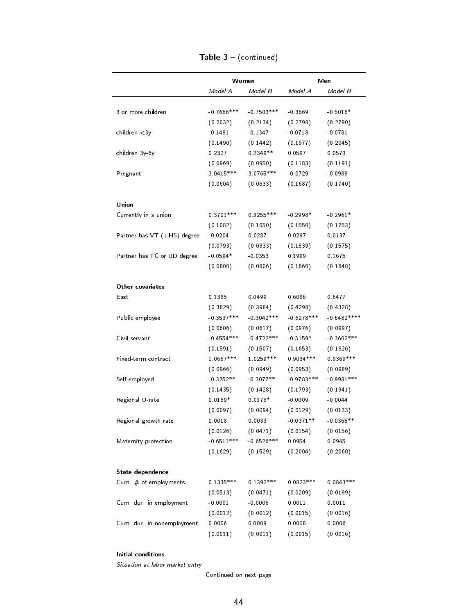|                             | Women         |               | Men          |               |
|-----------------------------|---------------|---------------|--------------|---------------|
|                             | Model A       | Model B       | Model A      | Model B       |
|                             |               |               |              |               |
| 3 or more children          | $-0.7666$ *** | $-0.7503$ *** | $-0.3669$    | $-0.5016*$    |
|                             | (0.2032)      | (0.2134)      | (0.2798)     | (0.2790)      |
| children $<$ 3y             | $-0.1481$     | $-0.1347$     | $-0.0718$    | $-0.0781$     |
|                             | (0.1490)      | (0.1442)      | (0.1977)     | (0.2045)      |
| children 3y-6y              | 0.2327        | $0.2349**$    | 0.0597       | 0.0573        |
|                             | (0.0969)      | (0.0950)      | (0.1183)     | (0.1191)      |
| Pregnant                    | 3.0415***     | 3.0765***     | $-0.0729$    | $-0.0989$     |
|                             | (0.0604)      | (0.0633)      | (0.1687)     | (0.1740)      |
| Union                       |               |               |              |               |
| Currently in a union        | $0.3701***$   | $0.3255***$   | $-0.2998*$   | $-0.2961*$    |
|                             | (0.1082)      | (0.1050)      | (0.1550)     | (0.1753)      |
| Partner has VT (+HS) degree | $-0.0204$     | 0.0287        | 0.0297       | 0.0137        |
|                             | (0.0793)      | (0.0833)      | (0.1539)     | (0.1575)      |
| Partner has TC or UD degree | $-0.0594*$    | $-0.0353$     | 0.1999       | 0 1675        |
|                             | (0.0800)      | (0.0806)      | (0.1860)     | (0.1848)      |
| Other covariates            |               |               |              |               |
| East                        | 0.1385        | 0.0499        | 0.6086       | 0.6477        |
|                             | (0.3829)      | (0.3984)      | (0.4298)     | (0.4328)      |
| Public employee             | $-0.3537***$  | $-0.3042***$  | $-0.6278***$ | $-0.6482***$  |
|                             | (0.0606)      | (0.0617)      | (0.0976)     | (0.0997)      |
| Civil servant               | $-0.4554***$  | $-0.4722***$  | $-0.3159*$   | $-0.3602$ *** |
|                             | (0.1591)      | (0.1507)      | (0.1653)     | (0.1826)      |
| Fixed-term contract         | 1.0667***     | 1.0259 ***    | $0.9034***$  | $0.9369***$   |
|                             | (0.0966)      | (0.0949)      | (0.0953)     | (0.0989)      |
| Self-employed               | $-0.3252**$   | $-0.3077**$   | $-0.9783***$ | $-0.9981***$  |
|                             | (0.1435)      | (0.1428)      | (0.1793)     | (0.1941)      |
| Regional U-rate             | $0.0169*$     | $0.0178*$     | $-0.0009$    | $-0.0044$     |
|                             |               |               |              |               |
|                             | (0.0097)      | (0.0094)      | (0.0129)     | (0.0133)      |
| Regional growth rate        | 0.0018        | 0.0033        | $-0.0371**$  | $-0.0365**$   |
|                             | (0.0126)      | (0.0471)      | (0.0154)     | (0.0156)      |
| Maternity protection        | $-0.6511***$  | $-0.6526***$  | 0.0954       | 0.0945        |
|                             | (0.1629)      | (0.1529)      | (0.2004)     | (0.2060)      |
| State dependence            |               |               |              |               |
| Cum # of employments        | $0.1335***$   | $0.1392***$   | $0.0823***$  | $0.0843***$   |
|                             | (0.0513)      | (0.0471)      | (0.0209)     | (0.0199)      |
| Cum dur in employment       | $-0.0001$     | $-0.0006$     | 0.0011       | 0.0011        |
|                             | (0.0012)      | (0.0012)      | (0.0015)     | (0.0016)      |
| Cum. dur. in nonemployment  | 0.0006        | 0.0009        | 0.0008       | 0.0006        |
|                             | (0.0011)      | (0.0011)      | (0.0015)     | (0.0016)      |

Table  $3 - ($ continued $)$ 

Initial conditions

Situation at labor market entry

-Continued on next page-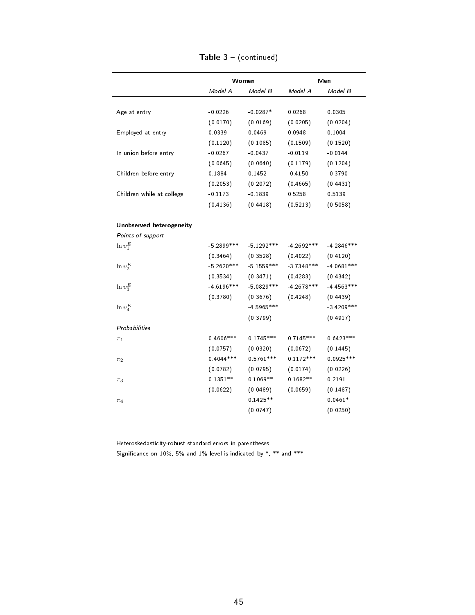|                           |              | Women        | Men           |              |
|---------------------------|--------------|--------------|---------------|--------------|
|                           | Model A      | Model B      | Model A       | Model B      |
| Age at entry              | $-0.0226$    | $-0.0287*$   | 0.0268        | 0.0305       |
|                           | (0.0170)     | (0.0169)     | (0.0205)      | (0.0204)     |
| Employed at entry         | 0.0339       | 0.0469       | 0.0948        | 0.1004       |
|                           | (0.1120)     | (0.1085)     | (0.1509)      | (0.1520)     |
| In union before entry     | $-0.0267$    | $-0.0437$    | $-0.0119$     | $-0.0144$    |
|                           | (0.0645)     | (0.0640)     | (0.1179)      | (0.1204)     |
| Children before entry     | 0 1884       | 0.1452       | $-0.4150$     | $-0.3790$    |
|                           | (0.2053)     | (0.2072)     | (0.4665)      | (0.4431)     |
| Children while at college | $-0.1173$    | $-0.1839$    | 0.5258        | 0.5139       |
|                           | (0.4136)     | (0.4418)     | (0.5213)      | (0.5058)     |
| Unobserved heterogeneity  |              |              |               |              |
| Points of support         |              |              |               |              |
| $\ln v_1^E$               | $-5.2899***$ | $-5.1292***$ | $-4.2692$ *** | $-4.2846***$ |
|                           | (0.3464)     | (0.3528)     | (0.4022)      | (0.4120)     |
| $\ln v_2^E$               | $-5.2620***$ | $-5.1559***$ | $-3.7348***$  | $-4.0681***$ |
|                           | (0.3534)     | (0.3471)     | (0.4283)      | (0.4342)     |
| $\ln v_3^E$               | $-4.6196***$ | $-5.0829***$ | $-4.2678$ *** | $-4.4563***$ |
|                           | (0.3780)     | (0.3676)     | (0.4248)      | (0.4439)     |
| $\ln v_4^E$               |              | $-4.5965***$ |               | $-3.4209***$ |
|                           |              | (0.3799)     |               | (0.4917)     |
| Probabilit ies            |              |              |               |              |
| $\pi_1$                   | $0.4606$ *** | $0.1745***$  | $0.7145***$   | $0.6423***$  |
|                           | (0.0757)     | (0.0320)     | (0.0672)      | (0.1445)     |
| $\pi_2$                   | $0.4044***$  | $0.5761***$  | $0.1172***$   | $0.0925***$  |
|                           | (0.0782)     | (0.0795)     | (0.0174)      | (0.0226)     |
| $\pi_3$                   | $0.1351**$   | $0.1069**$   | $0.1682**$    | 0.2191       |
|                           | (0.0622)     | (0.0489)     | (0.0659)      | (0.1487)     |
| $\pi_4$                   |              | $0.1425**$   |               | $0.0461*$    |
|                           |              | (0.0747)     |               | (0.0250)     |
|                           |              |              |               |              |

Table  $3 - ($ continued $)$ 

Heteroskedasticity-robust standard errors in parentheses

Significance on  $10\%$ , 5% and  $1\%$ -level is indicated by \*, \*\* and \*\*\*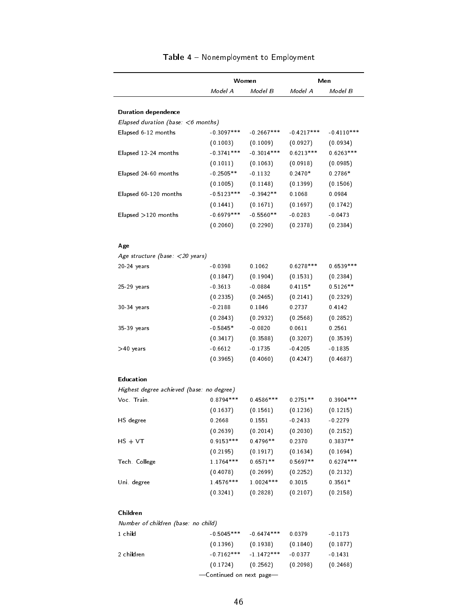|                                                 | Women                 |                        | Men                |                         |
|-------------------------------------------------|-----------------------|------------------------|--------------------|-------------------------|
|                                                 | Model A               | Model B                | Model A            | Model B                 |
|                                                 |                       |                        |                    |                         |
| <b>Duration dependence</b>                      |                       |                        |                    |                         |
| Elapsed duration (base: $<$ 6 months)           |                       |                        |                    |                         |
| Elapsed 6-12 months                             | $-0.3097***$          | $-0.2667***$           | $-0.4217***$       | $-0.4110***$            |
|                                                 | (0.1003)              | (0.1009)               | (0.0927)           | (0.0934)                |
| Elapsed 12-24 months                            | $-0.3741***$          | $-0.3014***$           | $0.6213***$        | $0.6263***$             |
|                                                 | (0.1011)              | (0.1063)               | (0.0918)           | (0.0985)                |
| Elapsed 24-60 months                            | $-0.2505**$           | $-0.1132$              | $0.2470*$          | $0.2786*$               |
|                                                 | (0.1005)              | (0.1148)               | (0.1399)           | (0.1506)                |
| Elapsed 60-120 months                           | $-0.5123***$          | $-0.3942**$            | 0.1068             | 0.0984                  |
|                                                 | (0.1441)              | (0.1671)               | (0.1697)           | (0.1742)                |
| Elapsed >120 months                             | $-0.6979***$          | $-0.5560**$            | $-0.0283$          | $-0.0473$               |
|                                                 | (0.2060)              | (0.2290)               | (0.2378)           | (0.2384)                |
| Age                                             |                       |                        |                    |                         |
| Age structure (base: $\langle$ 20 years)        |                       |                        |                    |                         |
| $20-24$ years                                   | $-0.0398$             | 0.1062                 | $0.6278***$        | $0.6539***$             |
|                                                 | (0.1847)              | (0.1904)               | (0.1531)           | (0.2384)                |
| 25-29 years                                     | $-0.3613$             | $-0.0884$              | $0.4115*$          | $0.5126**$              |
|                                                 | (0.2335)              | (0.2465)               | (0.2141)           | (0.2329)                |
| 30-34 years                                     | $-0.2188$             | 0.1846                 | 0.2737             | 0.4142                  |
|                                                 | (0.2843)              | (0.2932)               | (0.2568)           | (0.2852)                |
| 35-39 years                                     | $-0.5845*$            | $-0.0820$              | 0.0611             | 0.2561                  |
|                                                 | (0.3417)              | (0.3588)               | (0.3207)           | (0.3539)                |
| >40 years                                       | $-0.6612$             | $-0.1735$              | $-0.4205$          | $-0.1835$               |
|                                                 | (0.3965)              | (0.4060)               | (0.4247)           | (0.4687)                |
| Education                                       |                       |                        |                    |                         |
| Highest degree achieved (base: no degree)       |                       |                        |                    |                         |
| Voc. Train.                                     | $0.8794***$           | $0.4586***$            | $0.2751**$         | $0.3904***$             |
|                                                 | (0.1637)              | (0.1561)               | (0.1236)           | (0.1215)                |
| HS degree                                       | 0.2668                | 0.1551                 | $-0.2433$          | $-0.2279$               |
|                                                 | (0.2639)              | (0.2014)               | (0.2030)           | (0.2152)                |
| $HS + VT$                                       | $0.9153***$           | $0.4796**$             | 0.2370             | $0.3837**$              |
|                                                 |                       | (0.1917)               | (0.1634)           |                         |
|                                                 | (0.2195)<br>1 1764*** | $0.6571**$             | $0.5697**$         | (0.1694)<br>$0.6274***$ |
| Tech College                                    |                       |                        |                    |                         |
|                                                 | (0.4078)<br>1 4576*** | (0.2699)<br>1.0024 *** | (0.2252)<br>0.3015 | (0.2132)<br>$0.3561*$   |
| Uni degree                                      | (0.3241)              | (0.2828)               | (0.2107)           | (0.2158)                |
|                                                 |                       |                        |                    |                         |
| Children<br>Number of children (base: no child) |                       |                        |                    |                         |
| 1 child                                         | $-0.5045***$          | $-0.6474***$           | 0.0379             | $-0.1173$               |
|                                                 | (0.1396)              | (0.1938)               | (0.1840)           | (0.1877)                |
| 2 children                                      | $-0.7162***$          | $-1.1472***$           | $-0.0377$          | $-0.1431$               |
|                                                 |                       |                        |                    |                         |

#### Table 4 - Nonemployment to Employment

-Continued on next page-

(0.1724) (0.2562) (0.2098) (0.2468)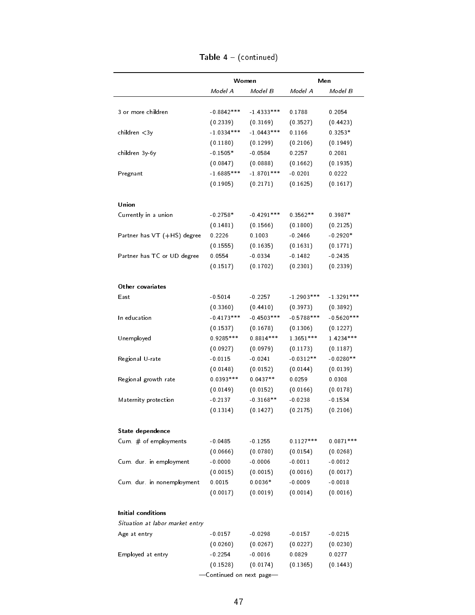|                                          |              | Women        |              | Men          |
|------------------------------------------|--------------|--------------|--------------|--------------|
|                                          | Model A      | Model B      | Model A      | Model B      |
|                                          |              |              |              |              |
| 3 or more children                       | $-0.8842***$ | $1.4333***$  | 0.1788       | 0.2054       |
|                                          | (0.2339)     | (0.3169)     | (0.3527)     | (0.4423)     |
| children $<$ 3y                          | $-1.0334***$ | $-1.0443***$ | 0.1166       | $0.3253*$    |
|                                          | (0.1180)     | (0.1299)     | (0.2106)     | (0.1949)     |
| children 3y-6y                           | $-0.1505*$   | $-0.0584$    | 0.2257       | 0.2081       |
|                                          | (0.0847)     | (0.0888)     | (0.1662)     | (0.1935)     |
| Pregnant                                 | $16885***$   | $-1.8701***$ | $-0.0201$    | 0.0222       |
|                                          | (0.1905)     | (0.2171)     | (0.1625)     | (0.1617)     |
| Union                                    |              |              |              |              |
| Currently in a union                     | $-0.2758*$   | $-0.4291***$ | $0.3562**$   | $0.3987*$    |
|                                          | (0.1481)     | (0.1566)     | (0.1800)     | (0.2125)     |
| Partner has VT (+HS) degree              | 0.2226       | 0.1003       | $-0.2466$    | $-0.2920*$   |
|                                          | (0.1555)     | (0.1635)     | (0.1631)     | (0.1771)     |
| Partner has TC or UD degree              | 0.0554       | $-0.0334$    | $-0.1482$    | $-0.2435$    |
|                                          | (0.1517)     | (0.1702)     | (0.2301)     | (0.2339)     |
| Other covariates                         |              |              |              |              |
| East                                     | $-0.5014$    | $-0.2257$    | $-1.2903***$ | $-1.3291***$ |
|                                          | (0.3360)     | (0.4410)     | (0.3973)     | (0.3892)     |
| In education                             | $-0.4173***$ | $-0.4503***$ | $-0.5788***$ | $-0.5620***$ |
|                                          | (0.1537)     | (0.1678)     | (0.1306)     | (0.1227)     |
| Unemployed                               | $0.9285***$  | $0.8814***$  | 1.3651 ***   | 1.4234 ***   |
|                                          | (0.0927)     | (0.0979)     | (0.1173)     | (0.1187)     |
| Regional U-rate                          | $-0.0115$    | $-0.0241$    | $-0.0312**$  | $-0.0280**$  |
|                                          | (0.0148)     | (0.0152)     | (0.0144)     | (0.0139)     |
| Regional growth rate                     | $0.0393***$  | $0.0437**$   | 0.0259       | 0.0308       |
|                                          | (0.0149)     | (0.0152)     | (0.0166)     | (0.0178)     |
| Maternity protection                     | $-0.2137$    | $-0.3168**$  | $-0.0238$    | $-0.1534$    |
|                                          | (0.1314)     | (0.1427)     | (0.2175)     | (0.2106)     |
|                                          |              |              |              |              |
| State dependence<br>Cum # of employments | $-0.0485$    | $-0.1255$    | $0.1127***$  | $0.0871***$  |
|                                          | (0.0666)     | (0.0780)     | (0.0154)     | (0.0268)     |
| Cum. dur. in employment                  | $-0.0000$    | $-0.0006$    | $-0.0011$    | $-0.0012$    |
|                                          | (0.0015)     | (0.0015)     | (0.0016)     | (0.0017)     |
| Cum dur in nonemployment                 | 0.0015       | $0.0036*$    | $-0.0009$    | $-0.0018$    |
|                                          | (0.0017)     | (0.0019)     | (0.0014)     | (0.0016)     |
| Initial conditions                       |              |              |              |              |
| Situation at labor market entry          |              |              |              |              |
| Age at entry                             | $-0.0157$    | $-0.0298$    | $-0.0157$    | $-0.0215$    |
|                                          | (0.0260)     | (0.0267)     | (0.0227)     | (0.0230)     |
| Employed at entry                        | $-0.2254$    | $-0.0016$    | 0.0829       | 0.0277       |
|                                          | (0.1528)     | (0.0174)     | (0.1365)     | (0.1443)     |
|                                          |              |              |              |              |

| Table $4 - (continued)$ |  |
|-------------------------|--|
|                         |  |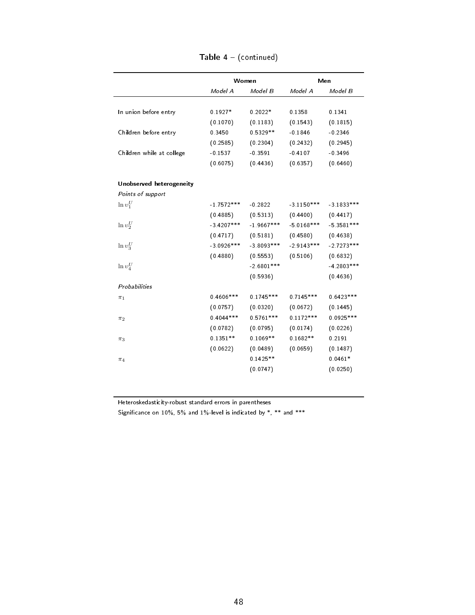|                           |              | Women        |              | Men          |  |
|---------------------------|--------------|--------------|--------------|--------------|--|
|                           | Model A      | Model B      | Model A      | Model B      |  |
| In union before entry     | $0.1927*$    | $0.2022*$    | 0.1358       | 0.1341       |  |
|                           |              |              | (0.1543)     |              |  |
|                           | (0.1070)     | (0.1183)     |              | (0.1815)     |  |
| Children before entry     | 0.3450       | $0.5329**$   | $-0.1846$    | $-0.2346$    |  |
|                           | (0.2585)     | (0.2304)     | (0.2432)     | (0.2945)     |  |
| Children while at college | $-0.1537$    | $-0.3591$    | $-0.4107$    | $-0.3496$    |  |
|                           | (0.6075)     | (0.4436)     | (0.6357)     | (0.6460)     |  |
| Unobserved heterogeneity  |              |              |              |              |  |
| Points of support         |              |              |              |              |  |
| $\ln v_1^U$               | $-1.7572***$ | $-0.2822$    | $-3.1150***$ | $-3.1833***$ |  |
|                           | (0.4885)     | (0.5313)     | (0.4400)     | (0.4417)     |  |
| $\ln v_2^U$               | $-3.4207***$ | $1.9667***$  | $-5.0168***$ | $-5.3581***$ |  |
|                           | (0.4717)     | (0.5181)     | (0.4580)     | (0.4638)     |  |
| $\ln v_3^U$               | $-3.0926***$ | $-3.8093***$ | $-2.9143***$ | $-2.7273***$ |  |
|                           | (0.4880)     | (0.5553)     | (0.5106)     | (0.6832)     |  |
| $\ln v_4^U$               |              | $-2.6801***$ |              | $-4.2803***$ |  |
|                           |              | (0.5936)     |              | (0.4636)     |  |
| Probabilities             |              |              |              |              |  |
| $\pi_1$                   | $0.4606***$  | $0.1745***$  | $0.7145***$  | $0.6423***$  |  |
|                           | (0.0757)     | (0.0320)     | (0.0672)     | (0.1445)     |  |
| $\pi_2$                   | $0.4044***$  | $0.5761***$  | $0.1172***$  | $0.0925***$  |  |
|                           | (0.0782)     | (0.0795)     | (0.0174)     | (0.0226)     |  |
| $\pi_3$                   | $0.1351**$   | $0.1069**$   | $0.1682**$   | 0.2191       |  |
|                           | (0.0622)     | (0.0489)     | (0.0659)     | (0.1487)     |  |
| $\pi_4$                   |              | $0.1425**$   |              | $0.0461*$    |  |
|                           |              |              |              |              |  |

Table 4 - (continued)

Heteroskedasticity-robust standard errors in parentheses

Significance on  $10\%$ , 5% and  $1\%$ -level is indicated by  $\ast$ ,  $\ast\ast$  and  $\ast\ast\ast$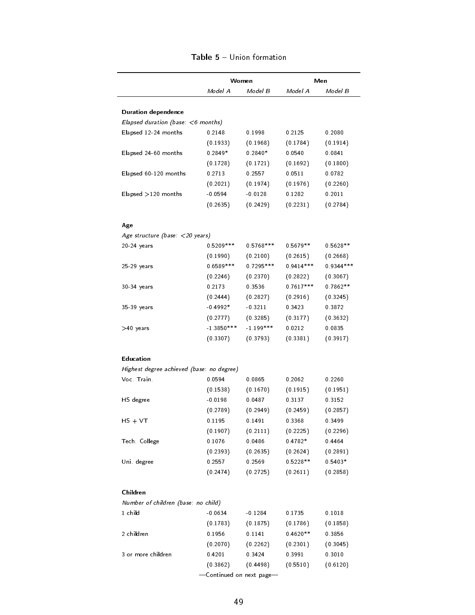|                                                  |                       | Women                 |                    | Men                |
|--------------------------------------------------|-----------------------|-----------------------|--------------------|--------------------|
|                                                  | Model A               | Model B               | Model A            | Model B            |
| <b>Duration dependence</b>                       |                       |                       |                    |                    |
| Elapsed duration (base: $<$ 6 months)            |                       |                       |                    |                    |
| Elapsed 12-24 months                             | 0.2148                | 0.1998                | 0.2125             | 0.2080             |
|                                                  | (0.1933)              | (0.1968)              | (0.1784)           | (0.1914)           |
| Elapsed 24-60 months                             | $0.2849*$             | $0.2840*$             | 0.0540             | 0.0841             |
|                                                  | (0.1728)              | (0.1721)              | (0.1692)           | (0.1800)           |
|                                                  | 0.2713                | 0 2557                | 0.0511             | 0.0782             |
| Elapsed 60-120 months                            |                       |                       |                    |                    |
|                                                  | (0.2021)<br>$-0.0594$ | (0.1974)<br>$-0.0128$ | (0.1976)<br>0.1282 | (0.2260)<br>0.2011 |
| Elapsed $>120$ months                            |                       |                       |                    |                    |
|                                                  | (0.2635)              | (0.2429)              | (0.2231)           | (0.2784)           |
| Age                                              |                       |                       |                    |                    |
| Age structure (base: $\langle 20 \rangle$ years) |                       |                       |                    |                    |
| 20-24 years                                      | $0.5209***$           | $0.5768***$           | $0.5679**$         | $0.5628**$         |
|                                                  | (0.1990)              | (0.2100)              | (0.2615)           | (0.2668)           |
| 25-29 years                                      | $0.6589***$           | 0.7295 ***            | $0.9414***$        | $0.9344***$        |
|                                                  | (0.2246)              | (0.2370)              | (0.2822)           | (0.3067)           |
| 30-34 years                                      | 0.2173                | 0.3536                | $0.7617***$        | $0.7862**$         |
|                                                  | (0.2444)              | (0.2827)              | (0.2916)           | (0.3245)           |
| 35-39 years                                      | $-0.4992*$            | $-0.3211$             | 0 3423             | 0.3872             |
|                                                  | (0.2777)              | (0.3285)              | (0.3177)           | (0.3632)           |
| $>40$ years                                      | $-1.3850***$          | $-1.199***$           | 0.0212             | 0.0835             |
|                                                  | (0.3307)              | (0.3793)              | (0.3381)           | (0.3917)           |
| Education                                        |                       |                       |                    |                    |
| Highest degree achieved (base: no degree)        |                       |                       |                    |                    |
| Voc Train                                        | 0.0594                | 0.0865                | 0.2062             | 0.2260             |
|                                                  | (0.1538)              | (0.1670)              | (0.1915)           | (0.1951)           |
| HS degree                                        | $-0.0198$             | 0.0487                | 0.3137             | 0 3152             |
|                                                  | (0.2789)              | (0.2949)              | (0.2459)           | (0.2857)           |
| $HS + VT$                                        | 0.1195                | 0.1491                | 0.3368             | 0.3499             |
|                                                  | (0.1907)              | (0.2111)              | (0.2225)           | (0.2296)           |
| Tech. College                                    | 0.1076                | 0.0486                | $0.4782*$          | 0.4464             |
|                                                  | (0.2393)              | (0.2635)              | (0.2624)           | (0.2891)           |
| Uni degree                                       | 0.2557                | 0.2569                | $0.5228**$         | $0.5403*$          |
|                                                  | (0.2474)              | (0.2725)              | (0.2611)           | (0.2858)           |
|                                                  |                       |                       |                    |                    |
| Children                                         |                       |                       |                    |                    |
| Number of children (base: no child)              |                       |                       |                    |                    |
| 1 child                                          | $-0.0634$             | $-0.1284$             | 0.1735             | 0.1018             |
|                                                  | (0.1783)              | (0.1875)              | (0.1786)           | (0.1858)           |
| 2 children                                       | 0.1956                | 0.1141                | $0.4620**$         | 0.3856             |
|                                                  | (0.2070)              | (0.2262)              | (0.2301)           | (0.3045)           |
| 3 or more children                               | 0.4201                | 0.3424                | 0.3991             | 0.3010             |
|                                                  | (0.3862)              | (0.4498)              | (0.5510)           | (0.6120)           |

#### Table 5 - Union formation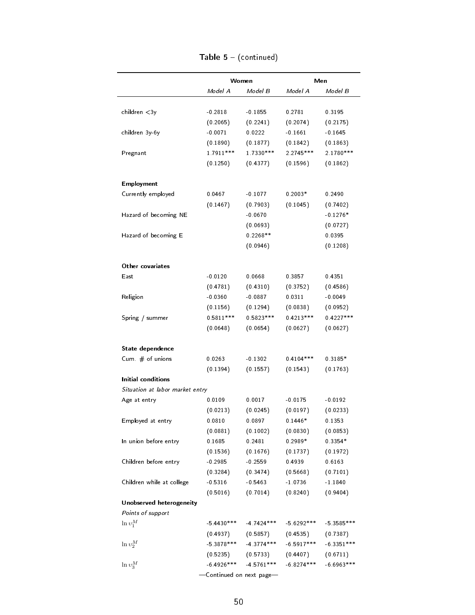|                                 |              | Women        |              | Men          |
|---------------------------------|--------------|--------------|--------------|--------------|
|                                 | Model A      | Model B      | Model A      | Model B      |
|                                 |              |              | 0 2781       |              |
| children $<$ 3y                 | $-0.2818$    | $-0.1855$    |              | 0.3195       |
|                                 | (0.2065)     | (0.2241)     | (0.2074)     | (0.2175)     |
| children 3y-6y                  | $-0.0071$    | 0.0222       | $-0.1661$    | $-0.1645$    |
|                                 | (0.1890)     | (0.1877)     | (0.1842)     | (0.1863)     |
| Pregnant                        | 1 7911***    | 1 7330 ***   | $2.2745***$  | 2.1780 ***   |
|                                 | (0.1250)     | (0.4377)     | (0.1596)     | (0.1862)     |
| Employment                      |              |              |              |              |
| Currently employed              | 0.0467       | $-0.1077$    | $0.2003*$    | 0.2490       |
|                                 | (0.1467)     | (0.7903)     | (0.1045)     | (0.7402)     |
| Hazard of becoming NE           |              | $-0.0670$    |              | $-0.1276*$   |
|                                 |              | (0.0693)     |              | (0.0727)     |
| Hazard of becoming E            |              | $0.2268**$   |              | 0.0395       |
|                                 |              | (0.0946)     |              | (0.1208)     |
|                                 |              |              |              |              |
| Other covariates                |              |              |              |              |
| East                            | $-0.0120$    | 0.0668       | 0 3857       | 0 4351       |
|                                 | (0.4781)     | (0.4310)     | (0.3752)     | (0.4586)     |
| Religion                        | $-0.0360$    | $-0.0887$    | 0.0311       | $-0.0049$    |
|                                 | (0.1156)     | (0.1294)     | (0.0838)     | (0.0952)     |
| Spring / summer                 | $0.5811***$  | $0.5823***$  | $0.4213***$  | $0.4227***$  |
|                                 | (0.0648)     | (0.0654)     | (0.0627)     | (0.0627)     |
| State dependence                |              |              |              |              |
| Cum $#$ of unions               | 0.0263       | $-0.1302$    | $0.4104***$  | $0.3185*$    |
|                                 | (0.1394)     | (0.1557)     | (0.1543)     | (0.1763)     |
| Initial conditions              |              |              |              |              |
| Situation at labor market entry |              |              |              |              |
| Age at entry                    | 0.0109       | 0.0017       | $-0.0175$    | $-0.0192$    |
|                                 | (0.0213)     | (0.0245)     | (0.0197)     | (0.0233)     |
| Employed at entry               | 0.0810       | 0.0897       |              | 0 1353       |
|                                 |              |              | $0.1446*$    |              |
|                                 | (0.0881)     | (0.1002)     | (0.0830)     | (0.0853)     |
| In union before entry           | 0.1685       | 0.2481       | $0.2989*$    | $0.3354*$    |
|                                 | (0.1536)     | (0.1676)     | (0.1737)     | (0.1972)     |
| Children before entry           | $-0.2985$    | $-0.2559$    | 0.4939       | 0.6163       |
|                                 | (0.3284)     | (0.3474)     | (0.5668)     | (0.7101)     |
| Children while at college       | $-0.5316$    | $-0.5463$    | $-1.0736$    | $-1.1840$    |
|                                 | (0.5016)     | (0.7014)     | (0.8240)     | (0.9404)     |
| Unobserved heterogeneity        |              |              |              |              |
| Points of support               |              |              |              |              |
| $\ln v_1^M$                     | $-5.4430***$ | $-4.7424***$ | $-5.6292***$ | $-5.3585***$ |
|                                 | (0.4937)     | (0.5857)     | (0.4535)     | (0.7387)     |
| $\ln v_2^M$                     | $-5.3878***$ | $-4.3774***$ | $-6.5917***$ | $-6.3351***$ |
|                                 |              |              |              |              |
|                                 | (0.5235)     | (0.5733)     | (0.4407)     | (0.6711)     |

| <b>Table 5</b> - (continued) |  |
|------------------------------|--|
|                              |  |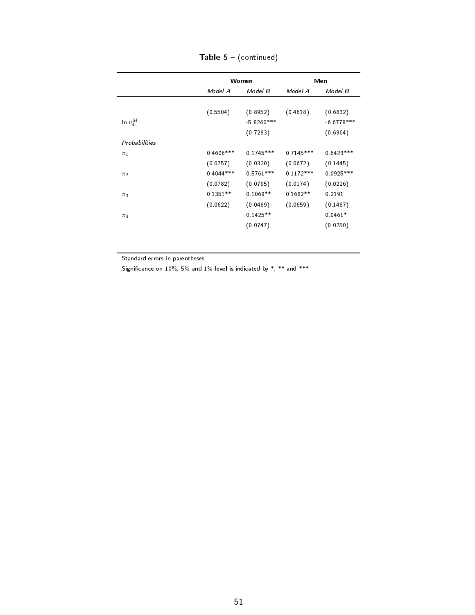|               |              | Women        | Men         |              |
|---------------|--------------|--------------|-------------|--------------|
|               | Model A      | Model B      | Model A     | Model B      |
|               |              |              |             |              |
|               | (0.5504)     | (0.8952)     | (0.4618)    | (0.6832)     |
| $\ln v_4^M$   |              | $-5.8240***$ |             | $-6.6778***$ |
|               |              | (0.7293)     |             | (0.6904)     |
| Probabilities |              |              |             |              |
| $\pi_1$       | $0.4606$ *** | $0.1745***$  | $0.7145***$ | $0.6423***$  |
|               | (0.0757)     | (0.0320)     | (0.0672)    | (0.1445)     |
| $\pi_2$       | $0.4044***$  | $0.5761***$  | $0.1172***$ | $0.0925***$  |
|               | (0.0782)     | (0.0795)     | (0.0174)    | (0.0226)     |
| $\pi_3$       | $0.1351**$   | $0.1069**$   | $0.1682**$  | 0.2191       |
|               | (0.0622)     | (0.0489)     | (0.0659)    | (0.1487)     |
| $\pi_4$       |              | $0.1425**$   |             | $0.0461*$    |
|               |              | (0.0747)     |             | (0.0250)     |

Table  $5 - ($ continued $)$ 

Standard errors in parentheses

Significance on  $10\%$ , 5% and  $1\%$ -level is indicated by  $\ast$ ,  $\ast\ast$  and  $\ast\ast\ast$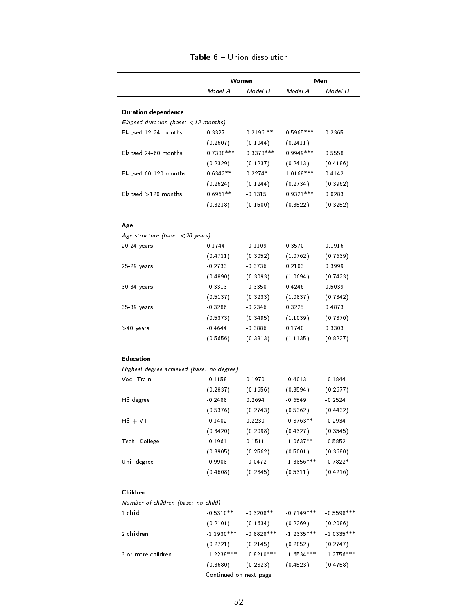|                                                             |              | Women         |              | Men          |
|-------------------------------------------------------------|--------------|---------------|--------------|--------------|
|                                                             | Model A      | Model B       | Model A      | Model B      |
|                                                             |              |               |              |              |
| <b>Duration dependence</b>                                  |              |               |              |              |
| Elapsed duration (base: $\langle 12 \text{ months} \rangle$ |              |               |              |              |
| Elapsed 12-24 months                                        | 0.3327       | $0.2196$ **   | $0.5965***$  | 0.2365       |
|                                                             | (0.2607)     | (0.1044)      | (0.2411)     |              |
| Elapsed 24-60 months                                        | $0.7388***$  | 0.3378 ***    | $0.9949***$  | 0.5558       |
|                                                             | (0.2329)     | (0.1237)      | (0.2413)     | (0.4186)     |
| Elapsed 60-120 months                                       | $0.6342**$   | $0.2274*$     | 1.0168***    | 0 4142       |
|                                                             | (0.2624)     | (0.1244)      | (0.2734)     | (0.3962)     |
| Elapsed $>120$ months                                       | $0.6961**$   | $-0.1315$     | $0.9321***$  | 0.0283       |
|                                                             | (0.3218)     | (0.1500)      | (0.3522)     | (0.3252)     |
| Age                                                         |              |               |              |              |
| Age structure (base: $\langle 20 \rangle$ years)            |              |               |              |              |
| 20-24 years                                                 | 0.1744       | $-0.1109$     | 0 3 5 7 0    | 0.1916       |
|                                                             | (0.4711)     | (0.3052)      | (1.0762)     | (0.7639)     |
| 25-29 years                                                 | $-0.2733$    | $-0.3736$     | 0.2103       | 0.3999       |
|                                                             | (0.4890)     | (0.3093)      | (1.0694)     | (0.7423)     |
| 30-34 years                                                 | $-0.3313$    | $-0.3350$     | 0.4246       | 0.5039       |
|                                                             | (0.5137)     | (0.3233)      | (1.0837)     | (0.7842)     |
| 35-39 years                                                 | $-0.3286$    | $-0.2346$     | 0.3225       | 0.4873       |
|                                                             | (0.5373)     | (0.3495)      | (1.1039)     | (0.7870)     |
| $>40$ years                                                 | $-0.4644$    | $-0.3886$     | 0.1740       | 0.3303       |
|                                                             | (0.5656)     | (0.3813)      | (1.1135)     | (0.8227)     |
| Education                                                   |              |               |              |              |
| Highest degree achieved (base: no degree)                   |              |               |              |              |
| Voc Train                                                   | $-0.1158$    | 0.1970        | $-0.4013$    | $-0.1844$    |
|                                                             | (0.2837)     | (0.1656)      | (0.3594)     | (0.2677)     |
| HS degree                                                   | $-0.2488$    | 0.2694        | $-0.6549$    | $-0.2524$    |
|                                                             | (0.5376)     | (0.2743)      | (0.5362)     | (0.4432)     |
| $HS + VT$                                                   | $-0.1402$    | 0.2230        | $-0.8763**$  | $-0.2934$    |
|                                                             | (0.3420)     | (0.2098)      | (0.4327)     | (0.3545)     |
| Tech College                                                | $-0.1961$    | 0.1511        | $-1.0637**$  | $-0.5852$    |
|                                                             | (0.3905)     | (0.2562)      | (0.5001)     | (0.3680)     |
| Uni degree                                                  | $-0.9908$    | $-0.0472$     | $-1.3856***$ | $-0.7822*$   |
|                                                             | (0.4608)     | (0.2845)      | (0.5311)     | (0.4216)     |
| Children                                                    |              |               |              |              |
| Number of children (base: no child)                         |              |               |              |              |
| 1 child                                                     | $-0.5310**$  | $-0.3208**$   | $-0.7149***$ | $-0.5598***$ |
|                                                             | (0.2101)     | (0.1634)      | (0.2269)     | (0.2086)     |
| 2 children                                                  | $-1.1930***$ | $-0.8828$ *** | $-1.2335***$ | $-1.0335***$ |
|                                                             | (0.2721)     | (0.2145)      | (0.2852)     | (0.2747)     |
| 3 or more children                                          | $-1.2238***$ | $-0.8210***$  | $-1.6534***$ | $-1.2756***$ |
|                                                             |              |               |              |              |

#### Table 6 - Union dissolution

-Continued on next page-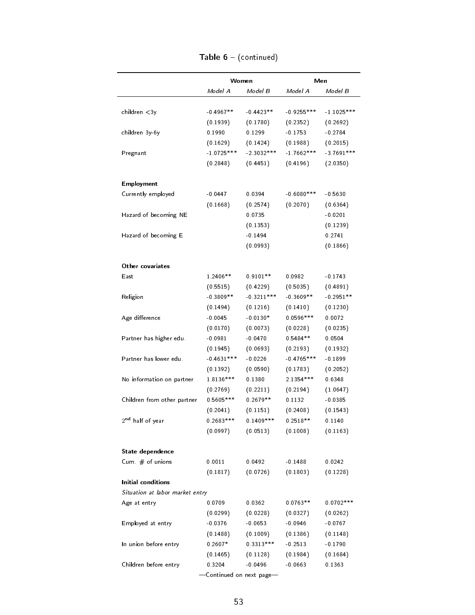|                                 |              | Women        |               | Men          |
|---------------------------------|--------------|--------------|---------------|--------------|
|                                 | Model A      | Model B      | Model A       | Model B      |
| children < 3y                   | $-0.4967**$  | $-0.4423**$  | $-0.9255***$  | $-1.1025***$ |
|                                 | (0.1939)     | (0.1780)     | (0.2352)      | (0.2692)     |
| children 3y-6y                  | 0.1990       | 0.1299       | $-0.1753$     | $-0.2784$    |
|                                 | (0.1629)     | (0.1424)     | (0.1988)      | (0.2015)     |
| Pregnant                        | $-1.0725***$ | $-2.3032***$ | $-17662***$   | $-3.7691***$ |
|                                 | (0.2848)     | (0.4451)     | (0.4196)      | (2.0350)     |
| <b>Employment</b>               |              |              |               |              |
| Currently employed              | $-0.0447$    | 0.0394       | $-0.6080$ *** | $-0.5630$    |
|                                 | (0.1668)     | (0.2574)     | (0.2070)      | (0.6364)     |
| Hazard of becoming NE           |              | 0.0735       |               | $-0.0201$    |
|                                 |              | (0.1353)     |               | (0.1239)     |
| Hazard of becoming E            |              | $-0.1494$    |               | 0.2741       |
|                                 |              | (0.0993)     |               | (0.1866)     |
| Other covariates                |              |              |               |              |
| East                            | 1.2406**     | $0.9101**$   | 0.0982        | $-0.1743$    |
|                                 | (0.5515)     | (0.4229)     | (0.5035)      | (0.4891)     |
| Religion                        | $-0.3809**$  | $-0.3211***$ | $-0.3609**$   | $-0.2951**$  |
|                                 | (0.1494)     | (0.1216)     | (0.1410)      | (0.1230)     |
| Age difference                  | $-0.0045$    | $-0.0130*$   | $0.0596***$   | 0.0072       |
|                                 | (0.0170)     | (0.0073)     | (0.0228)      | (0.0235)     |
| Partner has higher edu.         | $-0.0981$    | $-0.0470$    | $0.5484**$    | 0.0504       |
|                                 | (0.1945)     | (0.0693)     | (0.2193)      | (0.1932)     |
| Partner has lower edu.          | $-0.4631***$ | $-0.0226$    | $-0.4765***$  | $-0.1899$    |
|                                 | (0.1392)     | (0.0590)     | (0.1783)      | (0.2052)     |
| No information on partner       | 1.8136***    | 0.1380       | 2.1354 ***    | 0.6348       |
|                                 | (0.2769)     | (0.2211)     | (0.2194)      | (1.0647)     |
| Children from other partner     | $0.5605***$  | $0.2679**$   | 0.1132        | $-0.0385$    |
|                                 | (0.2041)     | (0.1151)     | (0.2408)      | (0.1543)     |
| 2 <sup>nd</sup> half of year    | $0.2683***$  | $0.1409***$  | $0.2518**$    | 0.1140       |
|                                 | (0.0997)     | (0.0513)     | (0.1008)      | (0.1163)     |
| State dependence                |              |              |               |              |
| Cum $#$ of unions               | 0.0011       | 0.0492       | $-0.1488$     | 0.0242       |
|                                 | (0.1817)     | (0.0726)     | (0.1803)      | (0.1228)     |
| Initial conditions              |              |              |               |              |
| Situation at labor market entry |              |              |               |              |
| Age at entry                    | 0.0709       | 0.0362       | $0.0763**$    | $0.0702***$  |
|                                 | (0.0299)     | (0.0228)     | (0.0327)      | (0.0262)     |
| Employed at entry               | $-0.0376$    | $-0.0653$    | $-0.0946$     | $-0.0767$    |
|                                 | (0.1488)     | (0.1009)     | (0.1386)      | (0.1148)     |
| In union before entry           | $0.2607*$    | $0.3313***$  | $-0.2513$     | $-0.1790$    |
|                                 | (0.1465)     | (0.1128)     | (0.1984)      | (0.1684)     |
|                                 |              |              |               |              |

| Table $6 - (continued)$ |  |
|-------------------------|--|
|-------------------------|--|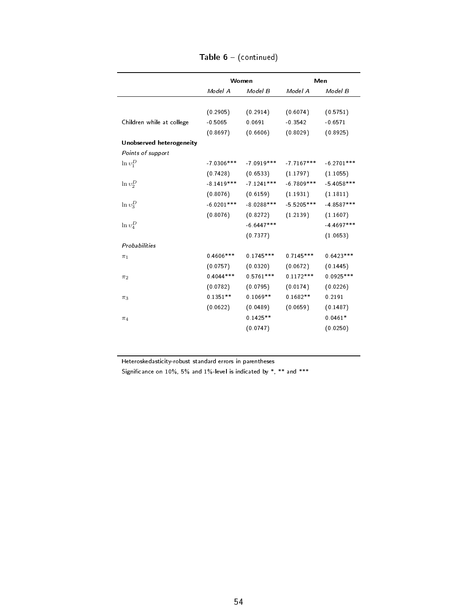|                           |               | Women                 |              | Men           |
|---------------------------|---------------|-----------------------|--------------|---------------|
|                           | Model A       | Model B               | Model A      | Model B       |
|                           |               |                       |              |               |
|                           | (0.2905)      | (0.2914)              | (0.6074)     | (0.5751)      |
| Children while at college | $-0.5065$     | 0.0691                | $-0.3542$    | $-0.6571$     |
|                           | (0.8697)      | (0.6606)              | (0.8029)     | (0.8925)      |
| Unobserved heterogeneity  |               |                       |              |               |
| Points of support         |               |                       |              |               |
| $\ln v_1^D$               | $-7.0306$ *** | $-7.0919***$          | $-77167***$  | $-6.2701***$  |
|                           | (0.7428)      | $(0.6533)$ $(1.1797)$ |              | (1.1055)      |
| $\ln v_2^D$               | $-8.1419***$  | $-7.1241***$          | $-6.7809***$ | $-5.4058$ *** |
|                           | (0.8076)      | (0.6159)              | (1.1931)     | (1.1811)      |
| $\ln v_3^D$               | $-6.0201***$  | $-8.0288***$          | $-5.5205***$ | $-4.8587***$  |
|                           | (0.8076)      | (0.8272)              | (1.2139)     | (1.1607)      |
| $\ln v_4^D$               |               | $-6.6447***$          |              | $-4.4697***$  |
|                           |               | (0.7377)              |              | (1.0653)      |
| Probabilities             |               |                       |              |               |
| $\pi_1$                   | $0.4606***$   | $0.1745***$           | $0.7145***$  | $0.6423***$   |
|                           | (0.0757)      | (0.0320)              | (0.0672)     | (0.1445)      |
| $\pi_2$                   | $0.4044***$   | $0.5761***$           | $0.1172***$  | $0.0925***$   |
|                           | (0.0782)      | (0.0795)              | (0.0174)     | (0.0226)      |
| $\pi_3$                   | $0.1351**$    | $0.1069**$            | $0.1682**$   | 0.2191        |
|                           | (0.0622)      | (0.0489)              | (0.0659)     | (0.1487)      |
| $\pi_4$                   |               | $0.1425**$            |              | $0.0461*$     |
|                           |               | (0.0747)              |              | (0.0250)      |
|                           |               |                       |              |               |

Table 6 - (continued)

Heteroskedasticity-robust standard errors in parentheses

Significance on  $10\%$ , 5% and  $1\%$ -level is indicated by  $\ast$ ,  $\ast\ast$  and  $\ast\ast\ast$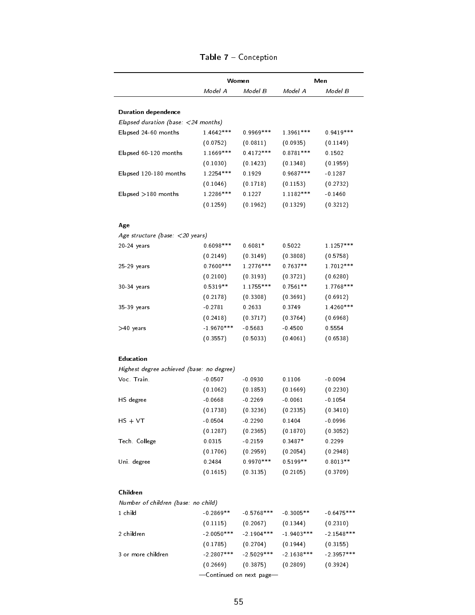|                                                             |              | Women         |              | Men                                          |
|-------------------------------------------------------------|--------------|---------------|--------------|----------------------------------------------|
|                                                             | Model A      | Model B       | Model A      | Model B                                      |
| <b>Duration dependence</b>                                  |              |               |              |                                              |
| Elapsed duration (base: $\langle 24 \text{ months} \rangle$ |              |               |              |                                              |
| Elapsed 24-60 months                                        | 1 4642***    | $0.9969***$   | 1 3961 ***   | $0.9419***$                                  |
|                                                             | (0.0752)     | (0.0811)      | (0.0935)     | (0.1149)                                     |
| Elapsed 60-120 months                                       | 1.1669 ***   | $0.4172***$   | $0.8781***$  | 0.1502                                       |
|                                                             | (0.1030)     | (0.1423)      | (0.1348)     | (0.1959)                                     |
| Elapsed 120-180 months                                      | 1.2254 ***   | 0.1929        | $0.9687***$  | $-0.1287$                                    |
|                                                             | (0.1046)     | (0.1718)      | (0.1153)     | (0.2732)                                     |
| Elapsed $>180$ months                                       | 1.2286***    | 0.1227        | 1 1182***    | $-0.1460$                                    |
|                                                             | (0.1259)     | (0.1962)      | (0.1329)     | (0.3212)                                     |
| Age                                                         |              |               |              |                                              |
| Age structure (base: $\langle$ 20 years)                    |              |               |              |                                              |
| 20-24 years                                                 | $0.6098***$  | $0.6081*$     | 0.5022       | 1 1257***                                    |
|                                                             | (0.2149)     | (0.3149)      | (0.3808)     | (0.5758)                                     |
| 25-29 years                                                 | $0.7600$ *** | 1 2776***     | $0.7637**$   | 1.7012 ***                                   |
|                                                             | (0.2100)     | (0.3193)      | (0.3721)     | (0.6280)                                     |
| 30-34 years                                                 | $0.5319**$   | 1 1755***     | $0.7561**$   | 1 7768***                                    |
|                                                             | (0.2178)     | (0.3308)      | (0.3691)     | (0.6912)                                     |
| 35-39 years                                                 | $-0.2781$    | 0.2633        | 0.3749       | 1.4260 ***                                   |
|                                                             | (0.2418)     | (0.3717)      | (0.3764)     | (0.6968)                                     |
| $>40$ years                                                 | $-1.9670***$ | $-0.5683$     | $-0.4500$    | 0.5554                                       |
|                                                             | (0.3557)     | (0.5033)      | (0.4061)     | (0.6538)                                     |
| Education                                                   |              |               |              |                                              |
| Highest degree achieved (base: no degree)                   |              |               |              |                                              |
| Voc Train.                                                  | $-0.0507$    | $-0.0930$     | 0.1106       | $-0.0094$                                    |
|                                                             | (0.1062)     | (0.1853)      | (0.1669)     | (0.2230)                                     |
| HS degree                                                   | $-0.0668$    | $-0.2269$     | $-0.0061$    | $-0.1054$                                    |
|                                                             | (0.1738)     | (0.3236)      | (0.2335)     | (0.3410)                                     |
| $HS + VT$                                                   | -0.0504      | $-0.2290$     | 0.1404       | $-0.0996$                                    |
|                                                             | (0.1287)     | (0.2365)      | (0.1870)     | (0.3052)                                     |
| Tech College                                                | 0.0315       | $-0.2159$     | $0.3487*$    | 0.2299                                       |
|                                                             | (0.1706)     | (0.2959)      | (0.2054)     | (0.2948)                                     |
|                                                             |              |               | $0.5199**$   | $0.8013**$                                   |
|                                                             | 0.2484       | $0.9970***$   |              |                                              |
| Uni degree                                                  | (0.1615)     | (0.3135)      | (0.2105)     | (0.3709)                                     |
| Children                                                    |              |               |              |                                              |
| Number of children (base: no child)                         |              |               |              |                                              |
| 1 child                                                     | $-0.2869**$  | $-0.5768$ *** | $-0.3005**$  |                                              |
|                                                             | (0.1115)     | (0.2067)      | (0.1344)     | (0.2310)                                     |
| 2 children                                                  | $-2.0050***$ | $-2.1904***$  | $-1.9403***$ |                                              |
|                                                             | (0.1785)     | (0.2704)      | (0.1944)     | (0.3155)                                     |
| 3 or more children                                          | $-2.2807***$ | $-2.5029***$  | $-2.1638***$ | $-0.6475***$<br>$-2.1548***$<br>$-2.3957***$ |

#### Table 7 - Conception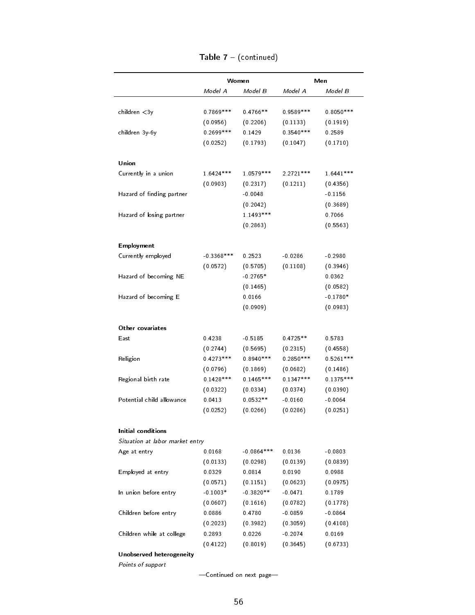|                                 |              | Women        |             | Men         |
|---------------------------------|--------------|--------------|-------------|-------------|
|                                 | Model A      | Model B      | Model A     | Model B     |
| children < 3y                   | 0.7869 ***   | $0.4766**$   | $0.9589***$ | $0.8050***$ |
|                                 | (0.0956)     | (0.2206)     | (0.1133)    | (0.1919)    |
| children 3y-6y                  | $0.2699***$  | 0.1429       | $0.3540***$ | 0.2589      |
|                                 | (0.0252)     | (0.1793)     | (0.1047)    | (0.1710)    |
| Union                           |              |              |             |             |
| Currently in a union            | 16424 ***    | 1.0579***    | $2.2721***$ | $1.6441***$ |
|                                 | (0.0903)     | (0.2317)     | (0.1211)    | (0.4356)    |
| Hazard of finding partner       |              | $-0.0048$    |             | $-0.1156$   |
|                                 |              | (0.2042)     |             | (0.3689)    |
| Hazard of losing partner        |              | 1 1493***    |             | 0.7066      |
|                                 |              | (0.2863)     |             | (0.5563)    |
| <b>Employment</b>               |              |              |             |             |
| Currently employed              | $-0.3368***$ | 0.2523       | $-0.0286$   | $-0.2980$   |
|                                 | (0.0572)     | (0.5705)     | (0.1108)    | (0.3946)    |
| Hazard of becoming NE           |              | $-0.2765*$   |             | 0.0362      |
|                                 |              | (0.1465)     |             | (0.0582)    |
| Hazard of becoming E            |              | 0.0166       |             | $-0.1780*$  |
|                                 |              | (0.0909)     |             | (0.0983)    |
| Other covariates                |              |              |             |             |
| East                            | 0.4238       | $-0.5185$    | $0.4725**$  | 0.5783      |
|                                 | (0.2744)     | (0.5695)     | (0.2315)    | (0.4558)    |
| Religion                        | $0.4273***$  | $0.8940***$  | $0.2850***$ | $0.5261***$ |
|                                 | (0.0796)     | (0.1869)     | (0.0682)    | (0.1486)    |
| Regional birth rate             | $0.1428***$  | $0.1465***$  | $0.1347***$ | $0.1375***$ |
|                                 | (0.0322)     | (0.0334)     | (0.0374)    | (0.0390)    |
| Potential child allowance       | 0.0413       | $0.0532**$   | $-0.0160$   | $-0.0064$   |
|                                 | (0.0252)     | (0.0266)     | (0.0286)    | (0.0251)    |
| Initial conditions              |              |              |             |             |
| Situation at labor market entry |              |              |             |             |
| Age at entry                    | 0.0168       | $-0.0864***$ | 0.0136      | $-0.0803$   |
|                                 | (0.0133)     | (0.0298)     | (0.0139)    | (0.0839)    |
| Employed at entry               | 0.0329       | 0.0814       | 0.0190      | 0.0988      |
|                                 | (0.0571)     | (0.1151)     | (0.0623)    | (0.0975)    |
| In union before entry           | $-0.1003*$   | $-0.3820**$  | $-0.0471$   | 0.1789      |
|                                 | (0.0607)     | (0.1616)     | (0.0782)    | (0.1778)    |
| Children before entry           | 0.0886       | 0.4780       | $-0.0859$   | $-0.0864$   |
|                                 | (0.2023)     | (0.3982)     | (0.3059)    | (0.4108)    |
| Children while at college       | 0.2893       | 0.0226       | $-0.2074$   | 0.0169      |
|                                 | (0.4122)     | (0.8019)     | (0.3645)    | (0.6733)    |

Table 7 - (continued)

-Continued on next page-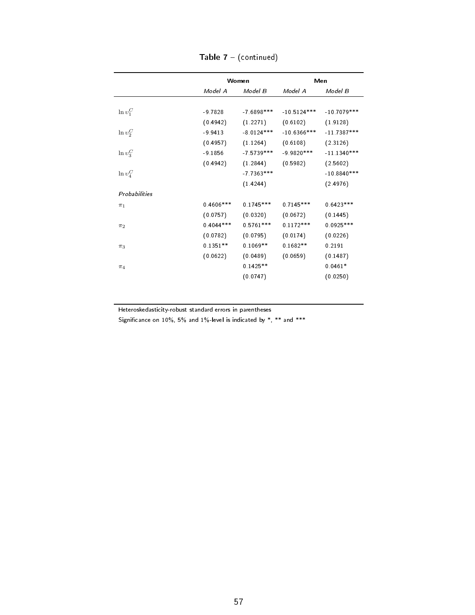|               |             | Women        |               | Men           |
|---------------|-------------|--------------|---------------|---------------|
|               | Model A     | Model B      | Model A       | Model B       |
|               |             |              |               |               |
| $\ln v_1^C$   | $-9.7828$   | $-7.6898***$ | $-10.5124***$ | $-10.7079***$ |
|               | (0.4942)    | (1.2271)     | (0.6102)      | (1.9128)      |
| $\ln v_2^C$   | $-9.9413$   | $-8.0124***$ | $-10.6366***$ | $-11.7387***$ |
|               | (0.4957)    | (1.1264)     | (0.6108)      | (2.3126)      |
| $\ln v_3^C$   | $-9.1856$   | -7 5739 ***  | $-9.9820***$  | $-11.1340***$ |
|               | (0.4942)    | (1.2844)     | (0.5982)      | (2.5602)      |
| $\ln v_4^C$   |             | $-7.7363***$ |               | $-10.8840***$ |
|               |             | (1.4244)     |               | (2.4976)      |
| Probabilities |             |              |               |               |
| $\pi_1$       | $0.4606***$ | $0.1745***$  | $0.7145***$   | $0.6423***$   |
|               | (0.0757)    | (0.0320)     | (0.0672)      | (0.1445)      |
| $\pi_2$       | $0.4044***$ | $0.5761***$  | $0.1172***$   | $0.0925***$   |
|               | (0.0782)    | (0.0795)     | (0.0174)      | (0.0226)      |
| $\pi_3$       | $0.1351**$  | $0.1069**$   | $0.1682**$    | 0.2191        |
|               | (0.0622)    | (0.0489)     | (0.0659)      | (0.1487)      |
| $\pi_4$       |             | $0.1425**$   |               | $0.0461*$     |
|               |             | (0.0747)     |               | (0.0250)      |

Table 7 - (continued)

Heteroskedasticity-robust standard errors in parentheses

Significance on 10%, 5% and 1%-level is indicated by  $*, **$  and  $***$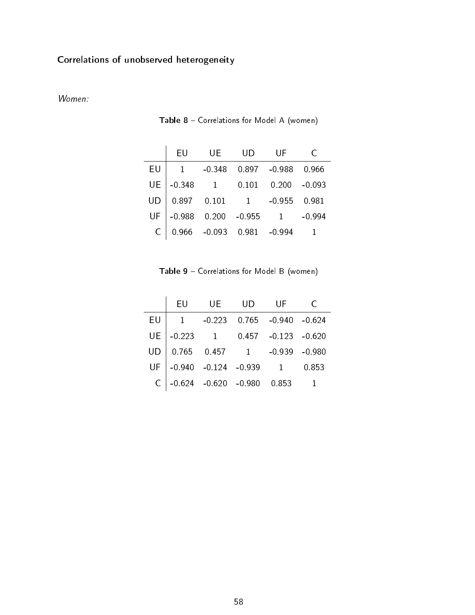## Correlations of unobserved heterogeneity

#### Women:

|    | EU       | UE           | UD             | UF             |          |
|----|----------|--------------|----------------|----------------|----------|
| EU |          | $-0.348$     | 0.897          | $-0.988$       | 0.966    |
| UE | $-0.348$ | $\mathbf{1}$ | 0.101          | 0.200          | $-0.093$ |
|    | 0.897    | 0.101        | $\overline{1}$ | $-0.955$       | 0.981    |
| UF | $-0.988$ | 0.200        | $-0.955$       | $\overline{1}$ | -0 994   |
|    | 0.966    | $-0.093$     | 0 9 8 1        | -0 994         |          |

Table 8 - Correlations for Model A (women)

Table 9 - Correlations for Model B (women)

|    | EU             | <b>UE</b>              | <b>UD</b> | UF                                                                              |  |
|----|----------------|------------------------|-----------|---------------------------------------------------------------------------------|--|
| EU | $\overline{1}$ | $-0.223$               |           |                                                                                 |  |
| UE | $-0.223$ 1     |                        |           | $0.457 -0.123 -0.620$                                                           |  |
|    |                |                        |           | $0.765$ $0.457$ $1$ $-0.939$ $-0.980$<br>$-0.940$ $-0.124$ $-0.939$ $1$ $0.853$ |  |
| UF |                |                        |           |                                                                                 |  |
|    |                | $-0.624 -0.620 -0.980$ |           | 0853                                                                            |  |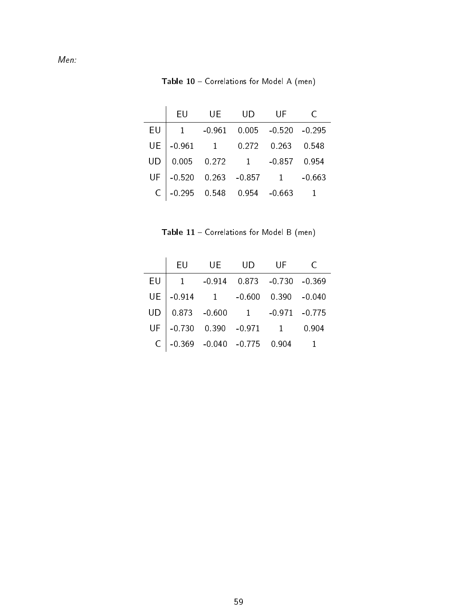Men:

Table 10 - Correlations for Model A (men)

|    | EU       | UE       | UD                                                            | -UF             |          |
|----|----------|----------|---------------------------------------------------------------|-----------------|----------|
| EU |          | $-0.961$ |                                                               | $0.005 - 0.520$ | $-0.295$ |
| UE | $-0.961$ |          | 1 0.272                                                       | 0.263           | 0.548    |
| UD |          |          | $0.005$ $0.272$ $1$ $-0.857$<br>$-0.520$ $0.263$ $-0.857$ $1$ |                 | 0.954    |
| UF | $-0.520$ |          |                                                               | $\boxed{1}$     | $-0.663$ |
|    | $-0.295$ |          | $0.548$ 0.954                                                 | $-0.663$        |          |

Table 11 - Correlations for Model B (men)

|    | EU       | - UE- | UD -                                                                                                | – UE |  |
|----|----------|-------|-----------------------------------------------------------------------------------------------------|------|--|
| EU |          |       | 1 -0.914 0.873 -0.730 -0.369                                                                        |      |  |
| UE | $-0.914$ |       | 1 -0.600 0.390 -0.040                                                                               |      |  |
|    |          |       | $\begin{array}{ c c c c c c c c } \hline 0.873 & -0.600 & 1 & -0.971 & -0.775 \ \hline \end{array}$ |      |  |
|    |          |       | $\mathsf{UF}\Big _{-0.730}$ 0.390 -0.971 1 0.904                                                    |      |  |
|    |          |       | $C$ -0.369 -0.040 -0.775 0.904                                                                      |      |  |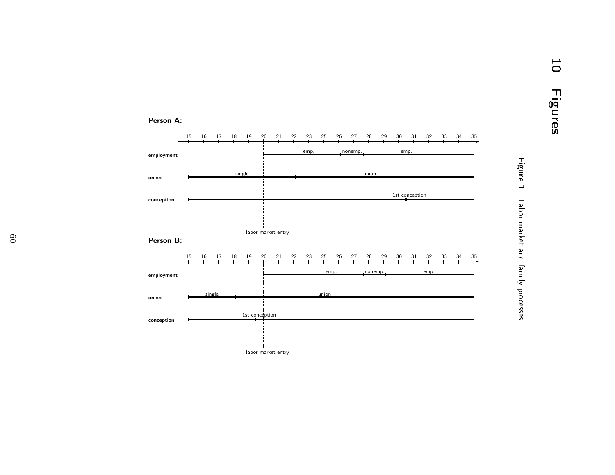#### Person B: 15 <sup>16</sup> <sup>17</sup> <sup>18</sup> <sup>19</sup> <sup>20</sup> <sup>21</sup> <sup>22</sup> <sup>23</sup> <sup>25</sup> <sup>26</sup> <sup>27</sup> <sup>28</sup> <sup>29</sup> <sup>30</sup> <sup>31</sup> <sup>32</sup> <sup>33</sup> <sup>34</sup> <sup>35</sup> ✲employment unionconceptionlabor market entry 1516 17 18 19 <sup>17</sup> <sup>18</sup> <sup>19</sup> <sup>20</sup> <sup>21</sup> <sup>22</sup> <sup>23</sup> <sup>25</sup> <sup>26</sup> <sup>27</sup> <sup>28</sup> <sup>29</sup> <sup>30</sup> <sup>31</sup> <sup>32</sup> <sup>33</sup> <sup>34</sup> <sup>35</sup> ✲employmentunionconceptionlabor market entry emp. nonemp. emp. singlee union 1st conceptionemp. nonemp. emp. singlee union 1st conception

# Figure 1 - Labor market and family processes Labor market and family processes

Person A: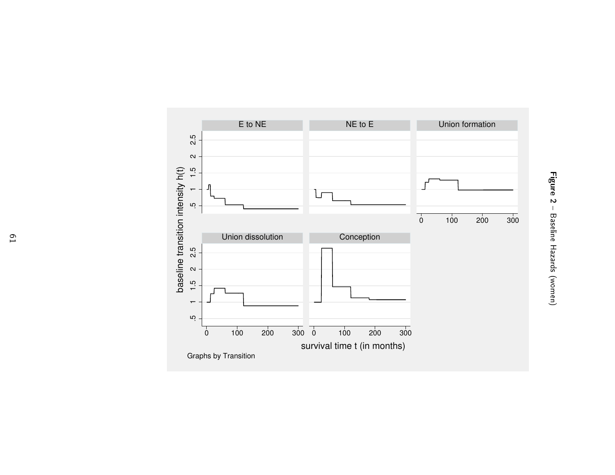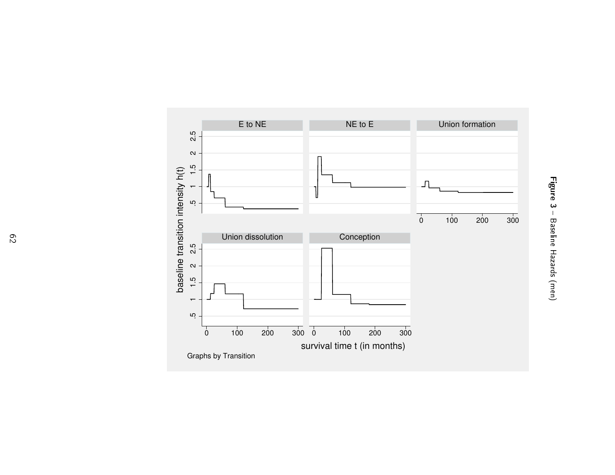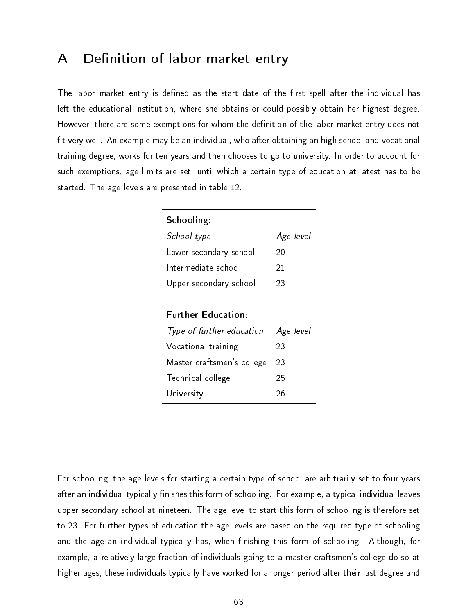## A Definition of labor market entry

The labor market entry is defined as the start date of the first spell after the individual has left the educational institution, where she obtains or could possibly obtain her highest degree. However, there are some exemptions for whom the definition of the labor market entry does not fit very well. An example may be an individual, who after obtaining an high school and vocational training degree, works for ten years and then chooses to go to university. In order to account for such exemptions, age limits are set, until which a certain type of education at latest has to be started. The age levels are presented in table 12.

| Schooling:             |           |
|------------------------|-----------|
| School type            | Age level |
| Lower secondary school | 20        |
| Intermediate school    | 21        |
| Upper secondary school | 23        |

| <b>Further Education:</b> |
|---------------------------|
|                           |

| Type of further education  | Age level |
|----------------------------|-----------|
| Vocational training        | 23        |
| Master craftsmen's college | 23        |
| Technical college          | 25        |
| University                 | 26        |

For schooling, the age levels for starting a certain type of school are arbitrarily set to four years after an individual typically finishes this form of schooling. For example, a typical individual leaves upper secondary school at nineteen. The age level to start this form of schooling is therefore set to 23. For further types of education the age levels are based on the required type of schooling and the age an individual typically has, when finishing this form of schooling. Although, for example, a relatively large fraction of individuals going to a master craftsmen's college do so at higher ages, these individuals typically have worked for a longer period after their last degree and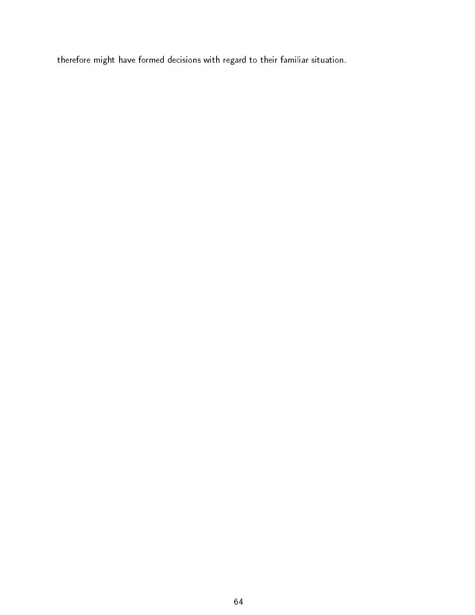therefore might have formed decisions with regard to their familiar situation.